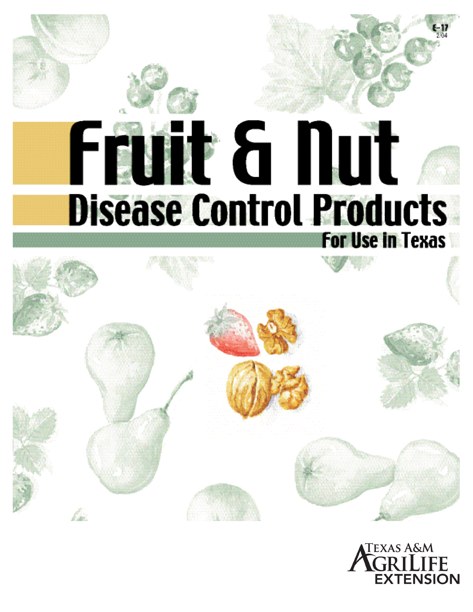# Fant & Dut **Disease Control Products For Use in Texas**



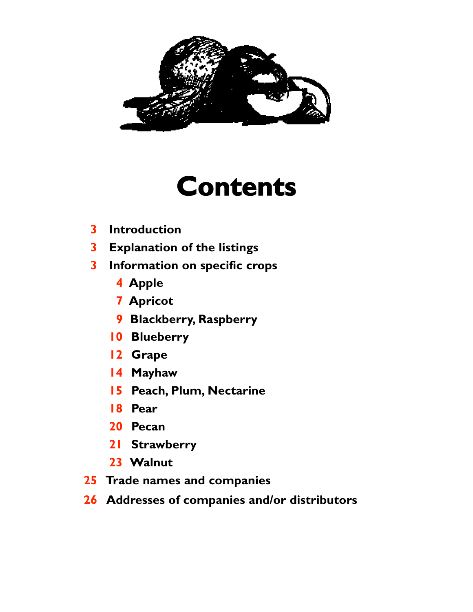

## **Contents**

- **Introduction**
- **Explanation of the listings**
- **Information on specific crops**
	- **Apple**
	- **Apricot**
	- **Blackberry, Raspberry**
	- **Blueberry**
	- **Grape**
	- **Mayhaw**
	- **Peach, Plum, Nectarine**
	- **Pear**
	- **Pecan**
	- **Strawberry**
	- **Walnut**
- **Trade names and companies**
- **Addresses of companies and/or distributors**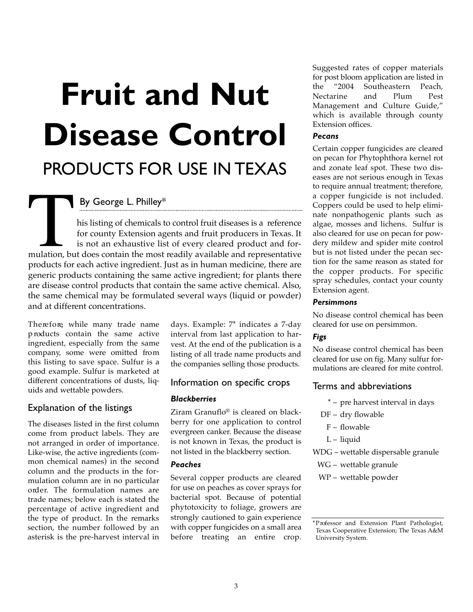## **Fruit and Nut Disease Control**

### PRODUCTS FOR USE IN TEXAS

By George L. Philley\*

his listing of chemicals to control fruit diseases is a reference for county Extension agents and fruit producers in Texas. It is not an exhaustive list of every cleared product and formulation, but does contain the most readily available and representative products for each active ingredient. Just as in human medicine, there are generic products containing the same active ingredient; for plants there are disease control products that contain the same active chemical. Also, the same chemical may be formulated several ways (liquid or powder) and at different concentrations. mulation, but

Therefore, while many trade name p roducts contain the same active ingredient, especially from the same company, some were omitted from this listing to save space. Sulfur is a good example. Sulfur is marketed at different concentrations of dusts, liquids and wettable powders.

#### Explanation of the listings

The diseases listed in the first column come from product labels. They are not arranged in order of importance. Like-wise, the active ingredients (common chemical names) in the second column and the products in the formulation column are in no particular order. The formulation names are trade names; below each is stated the percentage of active ingredient and the type of product. In the remarks section, the number followed by an asterisk is the pre-harvest interval in days. Example: 7\* indicates a 7-day interval from last application to harvest. At the end of the publication is a listing of all trade name products and the companies selling those products.

#### Information on specific crops

#### *Blackberries*

Ziram Granuflo® is cleared on blackberry for one application to control evergreen canker. Because the disease is not known in Texas, the product is not listed in the blackberry section.

#### *Peaches*

Several copper products are cleared for use on peaches as cover sprays for bacterial spot. Because of potential phytotoxicity to foliage, growers are strongly cautioned to gain experience with copper fungicides on a small area before treating an entire crop.

Suggested rates of copper materials for post bloom application are listed in the "2004 Southeastern Peach, Nectarine and Plum Pest Management and Culture Guide," which is available through county Extension offices.

#### *Pecans*

Certain copper fungicides are cleared on pecan for Phytophthora kernel rot and zonate leaf spot. These two diseases are not serious enough in Texas to require annual treatment; therefore, a copper fungicide is not included. Coppers could be used to help eliminate nonpathogenic plants such as algae, mosses and lichens. Sulfur is also cleared for use on pecan for powdery mildew and spider mite control but is not listed under the pecan section for the same reason as stated for the copper products. For specific spray schedules, contact your county Extension agent.

#### *Persimmons*

No disease control chemical has been cleared for use on persimmon.

#### *Figs*

No disease control chemical has been cleared for use on fig. Many sulfur formulations are cleared for mite control.

#### Terms and abbreviations

- \* pre harvest interval in days
- DF dry flowable
	- F flowable
	- L liquid
- WDG wettable dispersable granule
	- WG wettable granule
- WP wettable powder

<sup>\*</sup> P rofessor and Extension Plant Pathologist, Texas Cooperative Extension; The Texas A&M University System.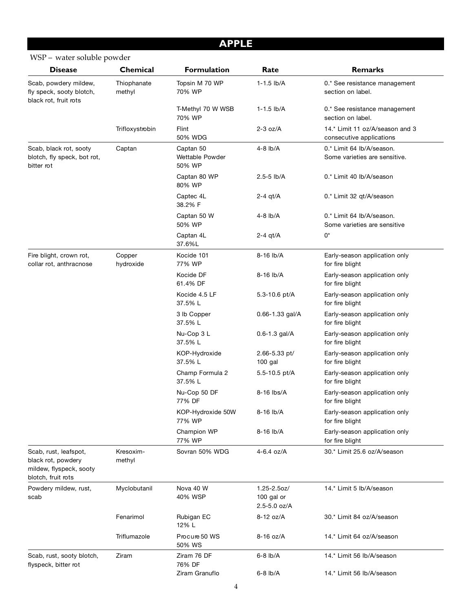#### **APPLE**

#### WSP – water soluble powder

| <b>Disease</b>                                                                               | Chemical              | <b>Formulation</b>                     | Rate                                      | <b>Remarks</b>                                              |
|----------------------------------------------------------------------------------------------|-----------------------|----------------------------------------|-------------------------------------------|-------------------------------------------------------------|
| Scab, powdery mildew,<br>fly speck, sooty blotch,<br>black rot, fruit rots                   | Thiophanate<br>methyl | Topsin M 70 WP<br>70% WP               | $1 - 1.5$ lb/A                            | 0.* See resistance management<br>section on label.          |
|                                                                                              |                       | T-Methyl 70 W WSB<br>70% WP            | $1 - 1.5$ lb/A                            | 0.* See resistance management<br>section on label.          |
|                                                                                              | Trifloxystrobin       | Flint<br>50% WDG                       | $2-3$ oz/A                                | 14.* Limit 11 oz/A/season and 3<br>consecutive applications |
| Scab, black rot, sooty<br>blotch, fly speck, bot rot,<br>bitter rot                          | Captan                | Captan 50<br>Wettable Powder<br>50% WP | $4-8$ lb/A                                | 0.* Limit 64 lb/A/season.<br>Some varieties are sensitive.  |
|                                                                                              |                       | Captan 80 WP<br>80% WP                 | $2.5 - 5$ lb/A                            | 0.* Limit 40 lb/A/season                                    |
|                                                                                              |                       | Captec 4L<br>38.2% F                   | 2-4 qt/A                                  | 0.* Limit 32 qt/A/season                                    |
|                                                                                              |                       | Captan 50 W<br>50% WP                  | 4-8 lb/A                                  | 0.* Limit 64 lb/A/season.<br>Some varieties are sensitive   |
|                                                                                              |                       | Captan 4L<br>37.6%L                    | $2-4$ qt/A                                | 0*                                                          |
| Fire blight, crown rot,<br>collar rot, anthracnose                                           | Copper<br>hydroxide   | Kocide 101<br>77% WP                   | 8-16 lb/A                                 | Early-season application only<br>for fire blight            |
|                                                                                              |                       | Kocide DF<br>61.4% DF                  | 8-16 lb/A                                 | Early-season application only<br>for fire blight            |
|                                                                                              |                       | Kocide 4.5 LF<br>37.5% L               | 5.3-10.6 pt/A                             | Early-season application only<br>for fire blight            |
|                                                                                              |                       | 3 lb Copper<br>37.5% L                 | $0.66 - 1.33$ gal/A                       | Early-season application only<br>for fire blight            |
|                                                                                              |                       | Nu-Cop 3 L<br>37.5% L                  | $0.6 - 1.3$ gal/A                         | Early-season application only<br>for fire blight            |
|                                                                                              |                       | KOP-Hydroxide<br>37.5% L               | 2.66-5.33 pt/<br>$100$ gal                | Early-season application only<br>for fire blight            |
|                                                                                              |                       | Champ Formula 2<br>37.5% L             | 5.5-10.5 pt/A                             | Early-season application only<br>for fire blight            |
|                                                                                              |                       | Nu-Cop 50 DF<br>77% DF                 | 8-16 lbs/A                                | Early-season application only<br>for fire blight            |
|                                                                                              |                       | KOP-Hydroxide 50W<br>77% WP            | 8-16 lb/A                                 | Early-season application only<br>for fire blight            |
|                                                                                              |                       | Champion WP<br>77% WP                  | 8-16 lb/A                                 | Early-season application only<br>for fire blight            |
| Scab, rust, leafspot,<br>black rot, powdery<br>mildew, flyspeck, sooty<br>blotch, fruit rots | Kresoxim-<br>methyl   | Sovran 50% WDG                         | 4-6.4 oz/A                                | 30.* Limit 25.6 oz/A/season                                 |
| Powdery mildew, rust,<br>scab                                                                | Myclobutanil          | Nova 40 W<br>40% WSP                   | 1.25-2.5oz/<br>100 gal or<br>2.5-5.0 oz/A | 14.* Limit 5 lb/A/season                                    |
|                                                                                              | Fenarimol             | Rubigan EC<br>12% L                    | 8-12 oz/A                                 | 30.* Limit 84 oz/A/season                                   |
|                                                                                              | Triflumazole          | Procure 50 WS<br>50% WS                | 8-16 oz/A                                 | 14.* Limit 64 oz/A/season                                   |
| Scab, rust, sooty blotch,<br>flyspeck, bitter rot                                            | Ziram                 | Ziram 76 DF<br>76% DF                  | $6-8$ lb/A                                | 14.* Limit 56 lb/A/season                                   |
|                                                                                              |                       | Ziram Granuflo                         | $6-8$ lb/A                                | 14.* Limit 56 lb/A/season                                   |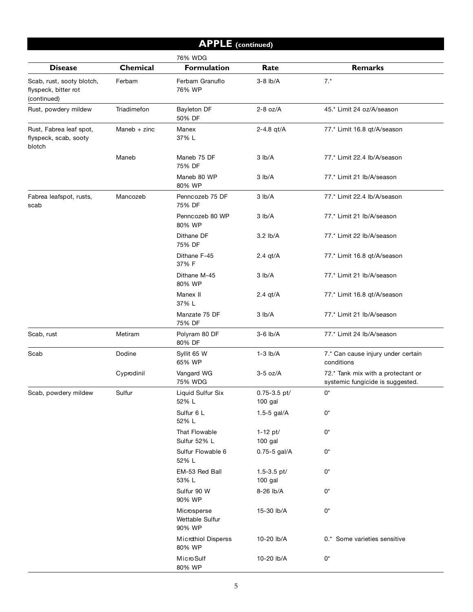| <b>APPLE</b> (continued)                                         |                |                                          |                             |                                                                        |  |
|------------------------------------------------------------------|----------------|------------------------------------------|-----------------------------|------------------------------------------------------------------------|--|
|                                                                  |                | 76% WDG                                  |                             |                                                                        |  |
| <b>Disease</b>                                                   | Chemical       | <b>Formulation</b>                       | Rate                        | <b>Remarks</b>                                                         |  |
| Scab, rust, sooty blotch,<br>flyspeck, bitter rot<br>(continued) | Ferbam         | Ferbam Granuflo<br>76% WP                | $3-8$ lb/A                  | $7.*$                                                                  |  |
| Rust, powdery mildew                                             | Triadimefon    | <b>Bayleton DF</b><br>50% DF             | $2-8$ oz/A                  | 45.* Limit 24 oz/A/season                                              |  |
| Rust, Fabrea leaf spot,<br>flyspeck, scab, sooty<br>blotch       | Maneb $+$ zinc | Manex<br>37% L                           | 2-4.8 $qt/A$                | 77.* Limit 16.8 qt/A/season                                            |  |
|                                                                  | Maneb          | Maneb 75 DF<br>75% DF                    | 3 lb/A                      | 77.* Limit 22.4 lb/A/season                                            |  |
|                                                                  |                | Maneb 80 WP<br>80% WP                    | 3 lb/A                      | 77.* Limit 21 lb/A/season                                              |  |
| Fabrea leafspot, rusts,<br>scab                                  | Mancozeb       | Penncozeb 75 DF<br>75% DF                | 3 lb/A                      | 77.* Limit 22.4 lb/A/season                                            |  |
|                                                                  |                | Penncozeb 80 WP<br>80% WP                | 3 lb/A                      | 77.* Limit 21 lb/A/season                                              |  |
|                                                                  |                | Dithane DF<br>75% DF                     | $3.2$ lb/A                  | 77.* Limit 22 lb/A/season                                              |  |
|                                                                  |                | Dithane F-45<br>37% F                    | $2.4$ qt/A                  | 77.* Limit 16.8 qt/A/season                                            |  |
|                                                                  |                | Dithane M-45<br>80% WP                   | 3 lb/A                      | 77.* Limit 21 lb/A/season                                              |  |
|                                                                  |                | Manex II<br>37% L                        | $2.4$ qt/A                  | 77.* Limit 16.8 qt/A/season                                            |  |
|                                                                  |                | Manzate 75 DF<br>75% DF                  | 3 lb/A                      | 77.* Limit 21 lb/A/season                                              |  |
| Scab, rust                                                       | Metiram        | Polyram 80 DF<br>80% DF                  | $3-6$ lb/A                  | 77.* Limit 24 lb/A/season                                              |  |
| Scab                                                             | Dodine         | Syllit 65 W<br>65% WP                    | $1-3$ $lb/A$                | 7.* Can cause injury under certain<br>conditions                       |  |
|                                                                  | Cyprodinil     | Vangard WG<br>75% WDG                    | $3-5$ oz/A                  | 72.* Tank mix with a protectant or<br>systemic fungicide is suggested. |  |
| Scab, powdery mildew                                             | Sulfur         | Liquid Sulfur Six<br>52% L               | $0.75 - 3.5$ pt/<br>100 gal | $0^*$                                                                  |  |
|                                                                  |                | Sulfur 6 L<br>52% L                      | 1.5-5 gal/A                 | $0^*$                                                                  |  |
|                                                                  |                | That Flowable<br>Sulfur 52% L            | 1-12 pt/<br>100 gal         | $0^*$                                                                  |  |
|                                                                  |                | Sulfur Flowable 6<br>52% L               | 0.75-5 gal/A                | $0^\star$                                                              |  |
|                                                                  |                | EM-53 Red Ball<br>53% L                  | 1.5-3.5 pt/<br>100 gal      | 0*                                                                     |  |
|                                                                  |                | Sulfur 90 W<br>90% WP                    | 8-26 lb/A                   | $0^*$                                                                  |  |
|                                                                  |                | Microsperse<br>Wettable Sulfur<br>90% WP | 15-30 lb/A                  | 0*                                                                     |  |
|                                                                  |                | Microthiol Disperss<br>80% WP            | 10-20 lb/A                  | 0.* Some varieties sensitive                                           |  |
|                                                                  |                | Micro Sulf                               | 10-20 lb/A                  | $0^\star$                                                              |  |

80% WP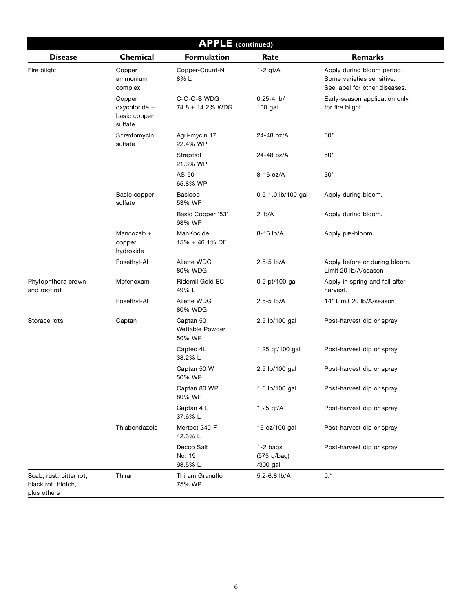| <b>APPLE</b> (continued)                                     |                                                    |                                        |                                       |                                                                                          |
|--------------------------------------------------------------|----------------------------------------------------|----------------------------------------|---------------------------------------|------------------------------------------------------------------------------------------|
| <b>Disease</b>                                               | Chemical                                           | <b>Formulation</b>                     | Rate                                  | <b>Remarks</b>                                                                           |
| Fire blight                                                  | Copper<br>ammonium<br>complex                      | Copper-Count-N<br>8% L                 | $1-2$ qt/A                            | Apply during bloom period.<br>Some varieties sensitive.<br>See label for other diseases. |
|                                                              | Copper<br>oxychloride +<br>basic copper<br>sulfate | C-O-C-S WDG<br>74.8 + 14.2% WDG        | $0.25 - 4$ lb/<br>$100$ gal           | Early-season application only<br>for fire blight                                         |
|                                                              | Streptomycin<br>sulfate                            | Agri-mycin 17<br>22.4% WP              | 24-48 oz/A                            | $50*$                                                                                    |
|                                                              |                                                    | Streptrol<br>21.3% WP                  | 24-48 oz/A                            | $50*$                                                                                    |
|                                                              |                                                    | AS-50<br>65.8% WP                      | 8-16 oz/A                             | $30*$                                                                                    |
|                                                              | Basic copper<br>sulfate                            | Basicop<br>53% WP                      | 0.5-1.0 lb/100 gal                    | Apply during bloom.                                                                      |
|                                                              |                                                    | Basic Copper '53'<br>98% WP            | $2$ lb/A                              | Apply during bloom.                                                                      |
|                                                              | Mancozeb +<br>copper<br>hydroxide                  | ManKocide<br>15% + 46.1% DF            | 8-16 lb/A                             | Apply pre-bloom.                                                                         |
|                                                              | Fosethyl-Al                                        | Aliette WDG<br>80% WDG                 | $2.5 - 5$ lb/A                        | Apply before or during bloom.<br>Limit 20 lb/A/season                                    |
| Phytophthora crown<br>and root rot                           | Mefenoxam                                          | Ridomil Gold EC<br>49% L               | 0.5 pt/100 gal                        | Apply in spring and fall after<br>harvest.                                               |
|                                                              | Fosethyl-Al                                        | Aliette WDG<br>80% WDG                 | $2.5 - 5$ lb/A                        | 14* Limit 20 lb/A/season                                                                 |
| Storage rots                                                 | Captan                                             | Captan 50<br>Wettable Powder<br>50% WP | 2.5 lb/100 gal                        | Post-harvest dip or spray                                                                |
|                                                              |                                                    | Captec 4L<br>38.2% L                   | 1.25 qt/100 gal                       | Post-harvest dip or spray                                                                |
|                                                              |                                                    | Captan 50 W<br>50% WP                  | 2.5 lb/100 gal                        | Post-harvest dip or spray                                                                |
|                                                              |                                                    | Captan 80 WP<br>80% WP                 | 1.6 lb/100 gal                        | Post-harvest dip or spray                                                                |
|                                                              |                                                    | Captan 4 L<br>37.6% L                  | 1.25 $qt/A$                           | Post-harvest dip or spray                                                                |
|                                                              | Thiabendazole                                      | Mertect 340 F<br>42.3% L               | 16 oz/100 gal                         | Post-harvest dip or spray                                                                |
|                                                              |                                                    | Decco Salt<br>No. 19<br>98.5% L        | $1-2$ bags<br>(575 g/bag)<br>/300 gal | Post-harvest dip or spray                                                                |
| Scab, rust, bitter rot,<br>black rot, blotch,<br>plus others | Thiram                                             | Thiram Granuflo<br>75% WP              | 5.2-6.8 lb/A                          | $0.*$                                                                                    |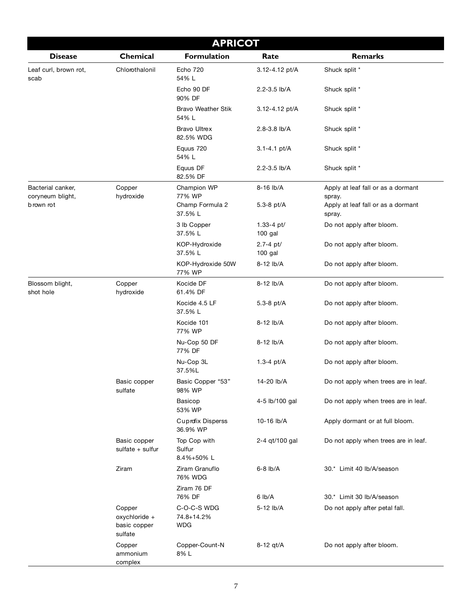| <b>APRICOT</b>                        |                                                    |                                         |                         |                                              |  |
|---------------------------------------|----------------------------------------------------|-----------------------------------------|-------------------------|----------------------------------------------|--|
| <b>Disease</b>                        | Chemical                                           | <b>Formulation</b>                      | Rate                    | <b>Remarks</b>                               |  |
| Leaf curl, brown rot,<br>scab         | Chlorothalonil                                     | <b>Echo 720</b><br>54% L                | 3.12-4.12 pt/A          | Shuck split *                                |  |
|                                       |                                                    | Echo 90 DF<br>90% DF                    | 2.2-3.5 lb/A            | Shuck split *                                |  |
|                                       |                                                    | <b>Bravo Weather Stik</b><br>54% L      | 3.12-4.12 pt/A          | Shuck split *                                |  |
|                                       |                                                    | <b>Bravo Ultrex</b><br>82.5% WDG        | 2.8-3.8 lb/A            | Shuck split *                                |  |
|                                       |                                                    | Equus 720<br>54% L                      | 3.1-4.1 pt/A            | Shuck split *                                |  |
|                                       |                                                    | Equus DF<br>82.5% DF                    | 2.2-3.5 lb/A            | Shuck split *                                |  |
| Bacterial canker,<br>coryneum blight, | Copper<br>hydroxide                                | Champion WP<br>77% WP                   | 8-16 lb/A               | Apply at leaf fall or as a dormant<br>spray. |  |
| b rown rot                            |                                                    | Champ Formula 2<br>37.5% L              | 5.3-8 $pt/A$            | Apply at leaf fall or as a dormant<br>spray. |  |
|                                       |                                                    | 3 lb Copper<br>37.5% L                  | 1.33-4 pt/<br>$100$ gal | Do not apply after bloom.                    |  |
|                                       |                                                    | KOP-Hydroxide<br>37.5% L                | 2.7-4 pt/<br>100 gal    | Do not apply after bloom.                    |  |
|                                       |                                                    | KOP-Hydroxide 50W<br>77% WP             | 8-12 lb/A               | Do not apply after bloom.                    |  |
| Blossom blight,<br>shot hole          | Copper<br>hydroxide                                | Kocide DF<br>61.4% DF                   | 8-12 lb/A               | Do not apply after bloom.                    |  |
|                                       |                                                    | Kocide 4.5 LF<br>37.5% L                | 5.3-8 pt/A              | Do not apply after bloom.                    |  |
|                                       |                                                    | Kocide 101<br>77% WP                    | 8-12 lb/A               | Do not apply after bloom.                    |  |
|                                       |                                                    | Nu-Cop 50 DF<br>77% DF                  | 8-12 lb/A               | Do not apply after bloom.                    |  |
|                                       |                                                    | Nu-Cop 3L<br>37.5%L                     | 1.3-4 $pt/A$            | Do not apply after bloom.                    |  |
|                                       | Basic copper<br>sulfate                            | Basic Copper "53"<br>98% WP             | 14-20 lb/A              | Do not apply when trees are in leaf.         |  |
|                                       |                                                    | Basicop<br>53% WP                       | 4-5 lb/100 gal          | Do not apply when trees are in leaf.         |  |
|                                       |                                                    | <b>Cuprofix Disperss</b><br>36.9% WP    | 10-16 lb/A              | Apply dormant or at full bloom.              |  |
|                                       | Basic copper<br>sulfate + sulfur                   | Top Cop with<br>Sulfur<br>8.4%+50%L     | 2-4 gt/100 gal          | Do not apply when trees are in leaf.         |  |
|                                       | Ziram                                              | Ziram Granuflo<br>76% WDG               | $6-8$ $lb/A$            | 30.* Limit 40 lb/A/season                    |  |
|                                       |                                                    | Ziram 76 DF<br>76% DF                   | 6 lb/A                  | 30.* Limit 30 lb/A/season                    |  |
|                                       | Copper<br>oxychloride +<br>basic copper<br>sulfate | C-O-C-S WDG<br>74.8+14.2%<br><b>WDG</b> | 5-12 lb/A               | Do not apply after petal fall.               |  |
|                                       | Copper<br>ammonium<br>complex                      | Copper-Count-N<br>8% L                  | 8-12 gt/A               | Do not apply after bloom.                    |  |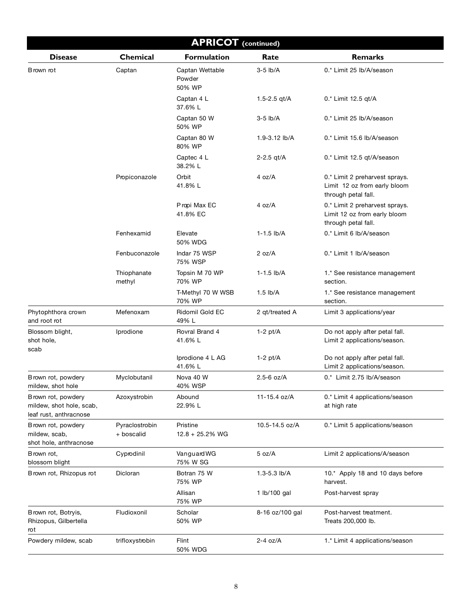| <b>APRICOT</b> (continued)                                               |                              |                                     |                 |                                                                                       |
|--------------------------------------------------------------------------|------------------------------|-------------------------------------|-----------------|---------------------------------------------------------------------------------------|
| <b>Disease</b>                                                           | Chemical                     | <b>Formulation</b>                  | Rate            | <b>Remarks</b>                                                                        |
| Brown rot                                                                | Captan                       | Captan Wettable<br>Powder<br>50% WP | $3-5$ lb/A      | 0.* Limit 25 lb/A/season                                                              |
|                                                                          |                              | Captan 4 L<br>37.6% L               | 1.5-2.5 $qt/A$  | 0.* Limit 12.5 qt/A                                                                   |
|                                                                          |                              | Captan 50 W<br>50% WP               | $3-5$ lb/A      | 0.* Limit 25 lb/A/season                                                              |
|                                                                          |                              | Captan 80 W<br>80% WP               | 1.9-3.12 lb/A   | 0.* Limit 15.6 lb/A/season                                                            |
|                                                                          |                              | Captec 4 L<br>38.2% L               | $2 - 2.5$ qt/A  | 0.* Limit 12.5 qt/A/season                                                            |
|                                                                          | Propiconazole                | Orbit<br>41.8% L                    | 4 oz/A          | 0.* Limit 2 preharvest sprays.<br>Limit 12 oz from early bloom<br>through petal fall. |
|                                                                          |                              | Propi Max EC<br>41.8% EC            | 4 oz/A          | 0.* Limit 2 preharvest sprays.<br>Limit 12 oz from early bloom<br>through petal fall. |
|                                                                          | Fenhexamid                   | Elevate<br>50% WDG                  | $1 - 1.5$ lb/A  | 0.* Limit 6 lb/A/season                                                               |
|                                                                          | Fenbuconazole                | Indar 75 WSP<br>75% WSP             | 2 oz/A          | 0.* Limit 1 lb/A/season                                                               |
|                                                                          | Thiophanate<br>methyl        | Topsin M 70 WP<br>70% WP            | $1 - 1.5$ lb/A  | 1.* See resistance management<br>section.                                             |
|                                                                          |                              | T-Methyl 70 W WSB<br>70% WP         | $1.5$ lb/A      | 1.* See resistance management<br>section.                                             |
| Phytophthora crown<br>and root rot                                       | Mefenoxam                    | Ridomil Gold EC<br>49% L            | 2 qt/treated A  | Limit 3 applications/year                                                             |
| Blossom blight,<br>shot hole,<br>scab                                    | Iprodione                    | Rovral Brand 4<br>41.6% L           | $1-2$ pt/A      | Do not apply after petal fall.<br>Limit 2 applications/season.                        |
|                                                                          |                              | Iprodione 4 L AG<br>41.6% L         | $1-2$ pt/A      | Do not apply after petal fall.<br>Limit 2 applications/season.                        |
| Brown rot, powdery<br>mildew, shot hole                                  | Myclobutanil                 | Nova 40 W<br>40% WSP                | $2.5 - 6$ oz/A  | 0.* Limit 2.75 lb/A/season                                                            |
| Brown rot, powdery<br>mildew, shot hole, scab,<br>leaf rust, anthracnose | Azoxystrobin                 | Abound<br>22.9% L                   | 11-15.4 oz/A    | 0.* Limit 4 applications/season<br>at high rate                                       |
| Brown rot, powdery<br>mildew, scab,<br>shot hole, anthracnose            | Pyraclostrobin<br>+ boscalid | Pristine<br>$12.8 + 25.2%$ WG       | 10.5-14.5 oz/A  | 0.* Limit 5 applications/season                                                       |
| Brown rot,<br>blossom blight                                             | Cyprodinil                   | VanguardWG<br>75% W SG              | 5 oz/A          | Limit 2 applications/A/season                                                         |
| Brown rot, Rhizopus rot                                                  | Dicloran                     | Botran 75 W<br>75% WP               | 1.3-5.3 lb/A    | 10.* Apply 18 and 10 days before<br>harvest.                                          |
|                                                                          |                              | Allisan<br>75% WP                   | 1 lb/100 gal    | Post-harvest spray                                                                    |
| Brown rot, Botryis,<br>Rhizopus, Gilbertella<br>rot                      | Fludioxonil                  | Scholar<br>50% WP                   | 8-16 oz/100 gal | Post-harvest treatment.<br>Treats 200,000 lb.                                         |
| Powdery mildew, scab                                                     | trifloxystrobin              | Flint<br>50% WDG                    | $2-4$ oz/A      | 1.* Limit 4 applications/season                                                       |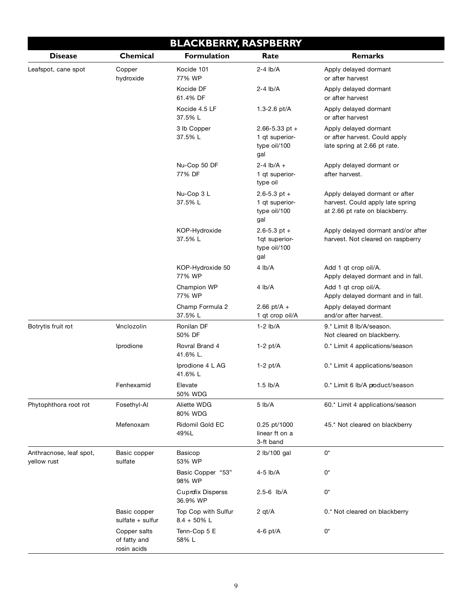|                                        | <b>BLACKBERRY, RASPBERRY</b>                |                                       |                                                             |                                                                                                      |  |  |
|----------------------------------------|---------------------------------------------|---------------------------------------|-------------------------------------------------------------|------------------------------------------------------------------------------------------------------|--|--|
| <b>Disease</b>                         | Chemical                                    | <b>Formulation</b>                    | Rate                                                        | <b>Remarks</b>                                                                                       |  |  |
| Leafspot, cane spot                    | Copper<br>hydroxide                         | Kocide 101<br>77% WP                  | $2-4$ lb/A                                                  | Apply delayed dormant<br>or after harvest                                                            |  |  |
|                                        |                                             | Kocide DF<br>61.4% DF                 | $2-4$ lb/A                                                  | Apply delayed dormant<br>or after harvest                                                            |  |  |
|                                        |                                             | Kocide 4.5 LF<br>37.5% L              | 1.3-2.6 pt/A                                                | Apply delayed dormant<br>or after harvest                                                            |  |  |
|                                        |                                             | 3 lb Copper<br>37.5% L                | $2.66 - 5.33$ pt +<br>1 qt superior-<br>type oil/100<br>gal | Apply delayed dormant<br>or after harvest. Could apply<br>late spring at 2.66 pt rate.               |  |  |
|                                        |                                             | Nu-Cop 50 DF<br>77% DF                | $2 - 4$ lb/A +<br>1 qt superior-<br>type oil                | Apply delayed dormant or<br>after harvest.                                                           |  |  |
|                                        |                                             | Nu-Cop 3 L<br>37.5% L                 | $2.6 - 5.3$ pt +<br>1 qt superior-<br>type oil/100<br>gal   | Apply delayed dormant or after<br>harvest. Could apply late spring<br>at 2.66 pt rate on blackberry. |  |  |
|                                        |                                             | KOP-Hydroxide<br>37.5% L              | $2.6 - 5.3$ pt +<br>1qt superior-<br>type oil/100<br>gal    | Apply delayed dormant and/or after<br>harvest. Not cleared on raspberry                              |  |  |
|                                        |                                             | KOP-Hydroxide 50<br>77% WP            | 4 lb/A                                                      | Add 1 gt crop oil/A.<br>Apply delayed dormant and in fall.                                           |  |  |
|                                        |                                             | Champion WP<br>77% WP                 | 4 lb/A                                                      | Add 1 qt crop oil/A.<br>Apply delayed dormant and in fall.                                           |  |  |
|                                        |                                             | Champ Formula 2<br>37.5% L            | 2.66 pt/A +<br>1 qt crop oil/A                              | Apply delayed dormant<br>and/or after harvest.                                                       |  |  |
| Botrytis fruit rot                     | <b>Vinclozolin</b>                          | Ronilan DF<br>50% DF                  | $1-2$ lb/A                                                  | 9.* Limit 8 lb/A/season.<br>Not cleared on blackberry.                                               |  |  |
|                                        | Iprodione                                   | Rovral Brand 4<br>41.6% L.            | $1-2$ pt/A                                                  | 0.* Limit 4 applications/season                                                                      |  |  |
|                                        |                                             | Iprodione 4 L AG<br>41.6% L           | $1-2$ pt/A                                                  | 0.* Limit 4 applications/season                                                                      |  |  |
|                                        | Fenhexamid                                  | Elevate<br>50% WDG                    | $1.5$ lb/A                                                  | 0.* Limit 6 lb/A product/season                                                                      |  |  |
| Phytophthora root rot                  | Fosethyl-Al                                 | Aliette WDG<br>80% WDG                | $5$ lb/A                                                    | 60.* Limit 4 applications/season                                                                     |  |  |
|                                        | Mefenoxam                                   | Ridomil Gold EC<br>49%L               | 0.25 pt/1000<br>linear ft on a<br>3-ft band                 | 45.* Not cleared on blackberry                                                                       |  |  |
| Anthracnose, leaf spot,<br>yellow rust | Basic copper<br>sulfate                     | Basicop<br>53% WP                     | 2 lb/100 gal                                                | 0*                                                                                                   |  |  |
|                                        |                                             | Basic Copper "53"<br>98% WP           | 4-5 lb/A                                                    | 0*                                                                                                   |  |  |
|                                        |                                             | <b>Cuprofix Disperss</b><br>36.9% WP  | 2.5-6 lb/A                                                  | 0*                                                                                                   |  |  |
|                                        | Basic copper<br>sulfate $+$ sulfur          | Top Cop with Sulfur<br>$8.4 + 50\%$ L | 2 $qt/A$                                                    | 0.* Not cleared on blackberry                                                                        |  |  |
|                                        | Copper salts<br>of fatty and<br>rosin acids | Tenn-Cop 5 E<br>58% L                 | $4-6$ pt/A                                                  | 0*                                                                                                   |  |  |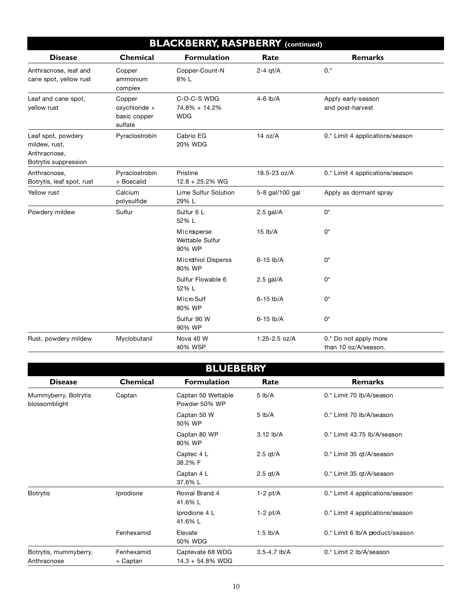| <b>BLACKBERRY, RASPBERRY</b> (continued)                                    |                                                    |                                            |                 |                                               |
|-----------------------------------------------------------------------------|----------------------------------------------------|--------------------------------------------|-----------------|-----------------------------------------------|
| <b>Disease</b>                                                              | <b>Chemical</b>                                    | <b>Formulation</b>                         | Rate            | <b>Remarks</b>                                |
| Anthracnose, leaf and<br>cane spot, yellow rust                             | Copper<br>ammonium<br>complex                      | Copper-Count-N<br>8%L                      | $2-4$ qt/A      | $0.*$                                         |
| Leaf and cane spot,<br>yellow rust                                          | Copper<br>oxychloride +<br>basic copper<br>sulfate | C-O-C-S WDG<br>74.8% + 14.2%<br><b>WDG</b> | $4-6$ lb/A      | Apply early-season<br>and post-harvest        |
| Leaf spot, powdery<br>mildew, rust,<br>Anthracnose,<br>Botrytis suppression | Pyraclostrobin                                     | Cabrio EG<br>20% WDG                       | 14 oz/A         | 0.* Limit 4 applications/season               |
| Anthracnose,<br>Botrytis, leaf spot, rust                                   | Pyraclostrobin<br>+ Boscalid                       | Pristine<br>$12.8 + 25.2\%$ WG             | 18.5-23 oz/A    | 0.* Limit 4 applications/season               |
| Yellow rust                                                                 | Calcium<br>polysulfide                             | Lime Sulfur Solution<br>29% L              | 5-8 gal/100 gal | Apply as dormant spray                        |
| Powdery mildew                                                              | Sulfur                                             | Sulfur 6 L<br>52% L                        | $2.5$ gal/A     | $0^*$                                         |
|                                                                             |                                                    | Microsperse<br>Wettable Sulfur<br>90% WP   | $15$ $lb/A$     | $0^*$                                         |
|                                                                             |                                                    | Microthiol Disperss<br>80% WP              | 6-15 lb/A       | 0*                                            |
|                                                                             |                                                    | Sulfur Flowable 6<br>52% L                 | $2.5$ gal/A     | $0^*$                                         |
|                                                                             |                                                    | Micro Sulf<br>80% WP                       | 6-15 lb/A       | $0^*$                                         |
|                                                                             |                                                    | Sulfur 90 W<br>90% WP                      | 6-15 lb/A       | 0*                                            |
| Rust, powdery mildew                                                        | Myclobutanil                                       | Nova 40 W<br>40% WSP                       | 1.25-2.5 oz/A   | 0.* Do not apply more<br>than 10 oz/A/season. |

| <b>BLUEBERRY</b>                      |                        |                                         |              |                                 |  |
|---------------------------------------|------------------------|-----------------------------------------|--------------|---------------------------------|--|
| <b>Disease</b>                        | <b>Chemical</b>        | <b>Formulation</b>                      | Rate         | <b>Remarks</b>                  |  |
| Mummyberry, Botrytis<br>blossomblight | Captan                 | Captan 50 Wettable<br>Powder 50% WP     | $5$ lb/A     | 0.* Limit 70 lb/A/season        |  |
|                                       |                        | Captan 50 W<br>50% WP                   | $5$ lb/A     | 0.* Limit 70 lb/A/season        |  |
|                                       |                        | Captan 80 WP<br>80% WP                  | 3.12 lb/A    | 0.* Limit 43.75 lb/A/season     |  |
|                                       |                        | Captec 4 L<br>38.2% F                   | $2.5$ qt/A   | 0.* Limit 35 qt/A/season        |  |
|                                       |                        | Captan 4 L<br>37.6% L                   | $2.5$ gt/A   | 0.* Limit 35 qt/A/season        |  |
| <b>Botrytis</b>                       | Iprodione              | Rovral Brand 4<br>41.6% L               | $1-2$ pt/A   | 0.* Limit 4 applications/season |  |
|                                       |                        | Iprodione 4 L<br>41.6% L                | $1-2$ pt/A   | 0.* Limit 4 applications/season |  |
|                                       | Fenhexamid             | Elevate<br>50% WDG                      | $1.5$ lb/A   | 0.* Limit 6 lb/A product/season |  |
| Botrytis, mummyberry,<br>Anthracnose  | Fenhexamid<br>+ Captan | Captevate 68 WDG<br>$14.3 + 54.8\%$ WDG | 3.5-4.7 lb/A | 0.* Limit 2 lb/A/season         |  |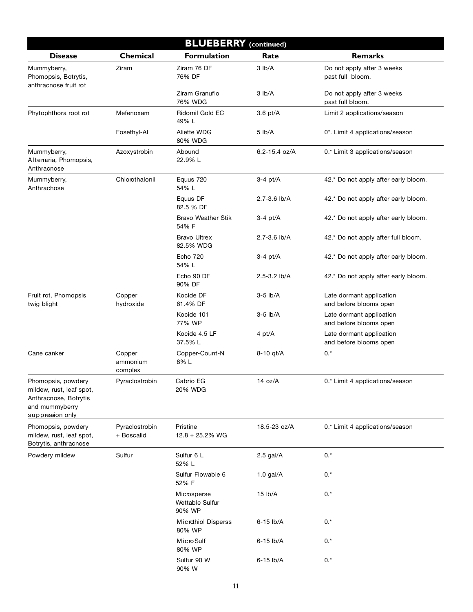| <b>BLUEBERRY</b> (continued)                                                                                  |                               |                                          |                   |                                                    |  |
|---------------------------------------------------------------------------------------------------------------|-------------------------------|------------------------------------------|-------------------|----------------------------------------------------|--|
| <b>Disease</b>                                                                                                | Chemical                      | <b>Formulation</b>                       | Rate              | <b>Remarks</b>                                     |  |
| Mummyberry,<br>Phomopsis, Botrytis,<br>anthracnose fruit rot                                                  | Ziram                         | Ziram 76 DF<br>76% DF                    | $3$ lb/A          | Do not apply after 3 weeks<br>past full bloom.     |  |
|                                                                                                               |                               | Ziram Granuflo<br>76% WDG                | 3 lb/A            | Do not apply after 3 weeks<br>past full bloom.     |  |
| Phytophthora root rot                                                                                         | Mefenoxam                     | <b>Ridomil Gold EC</b><br>49% L          | $3.6$ pt/A        | Limit 2 applications/season                        |  |
|                                                                                                               | Fosethyl-Al                   | Aliette WDG<br>80% WDG                   | 5 lb/A            | 0*. Limit 4 applications/season                    |  |
| Mummyberry,<br>Alterraria, Phomopsis,<br>Anthracnose                                                          | Azoxystrobin                  | Abound<br>22.9% L                        | $6.2 - 15.4$ oz/A | 0.* Limit 3 applications/season                    |  |
| Mummyberry,<br>Anthrachose                                                                                    | Chlorothalonil                | Equus 720<br>54% L                       | $3-4$ pt/A        | 42.* Do not apply after early bloom.               |  |
|                                                                                                               |                               | Equus DF<br>82.5 % DF                    | 2.7-3.6 lb/A      | 42.* Do not apply after early bloom.               |  |
|                                                                                                               |                               | <b>Bravo Weather Stik</b><br>54% F       | $3-4$ pt/A        | 42.* Do not apply after early bloom.               |  |
|                                                                                                               |                               | <b>Bravo Ultrex</b><br>82.5% WDG         | 2.7-3.6 lb/A      | 42.* Do not apply after full bloom.                |  |
|                                                                                                               |                               | <b>Echo 720</b><br>54% L                 | $3-4$ pt/A        | 42.* Do not apply after early bloom.               |  |
|                                                                                                               |                               | Echo 90 DF<br>90% DF                     | 2.5-3.2 lb/A      | 42.* Do not apply after early bloom.               |  |
| Fruit rot, Phomopsis<br>twig blight                                                                           | Copper<br>hydroxide           | Kocide DF<br>61.4% DF                    | $3-5$ lb/A        | Late dormant application<br>and before blooms open |  |
|                                                                                                               |                               | Kocide 101<br>77% WP                     | $3-5$ lb/A        | Late dormant application<br>and before blooms open |  |
|                                                                                                               |                               | Kocide 4.5 LF<br>37.5% L                 | 4 pt/A            | Late dormant application<br>and before blooms open |  |
| Cane canker                                                                                                   | Copper<br>ammonium<br>complex | Copper-Count-N<br>8%L                    | 8-10 qt/A         | $0.*$                                              |  |
| Phomopsis, powdery<br>mildew, rust, leaf spot,<br>Anthracnose, Botrytis<br>and mummyberry<br>suppression only | Pyraclostrobin                | Cabrio EG<br>20% WDG                     | 14 oz/A           | 0.* Limit 4 applications/season                    |  |
| Phomopsis, powdery<br>mildew, rust, leaf spot,<br>Botrytis, anthracnose                                       | Pyraclostrobin<br>+ Boscalid  | Pristine<br>$12.8 + 25.2%$ WG            | 18.5-23 oz/A      | 0.* Limit 4 applications/season                    |  |
| Powdery mildew                                                                                                | Sulfur                        | Sulfur 6 L<br>52% L                      | $2.5$ gal/A       | $0.*$                                              |  |
|                                                                                                               |                               | Sulfur Flowable 6<br>52% F               | $1.0$ gal/A       | 0.*                                                |  |
|                                                                                                               |                               | Microsperse<br>Wettable Sulfur<br>90% WP | 15 lb/A           | $0.*$                                              |  |
|                                                                                                               |                               | Microthiol Disperss<br>80% WP            | 6-15 lb/A         | $0.*$                                              |  |
|                                                                                                               |                               | Micro Sulf<br>80% WP                     | 6-15 lb/A         | $0.*$                                              |  |
|                                                                                                               |                               | Sulfur 90 W<br>90% W                     | 6-15 lb/A         | $0.*$                                              |  |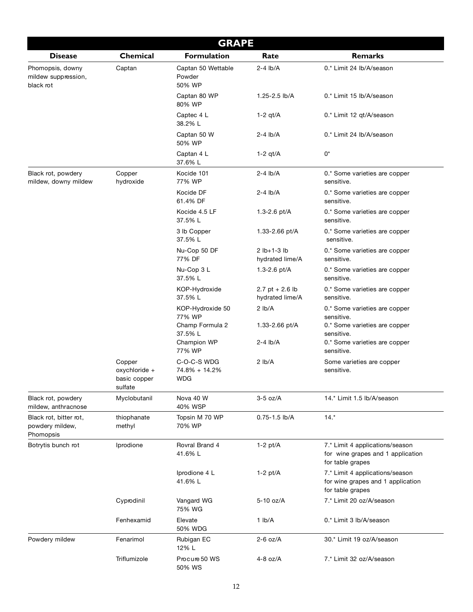|                                                        |                                                    | <b>GRAPE</b>                               |                                    |                                                                                          |
|--------------------------------------------------------|----------------------------------------------------|--------------------------------------------|------------------------------------|------------------------------------------------------------------------------------------|
| <b>Disease</b>                                         | Chemical                                           | <b>Formulation</b>                         | Rate                               | <b>Remarks</b>                                                                           |
| Phomopsis, downy<br>mildew suppression,<br>black rot   | Captan                                             | Captan 50 Wettable<br>Powder<br>50% WP     | $2-4$ lb/A                         | 0.* Limit 24 lb/A/season                                                                 |
|                                                        |                                                    | Captan 80 WP<br>80% WP                     | 1.25-2.5 lb/A                      | 0.* Limit 15 lb/A/season                                                                 |
|                                                        |                                                    | Captec 4 L<br>38.2% L                      | $1-2$ qt/A                         | 0.* Limit 12 qt/A/season                                                                 |
|                                                        |                                                    | Captan 50 W<br>50% WP                      | $2-4$ lb/A                         | 0.* Limit 24 lb/A/season                                                                 |
|                                                        |                                                    | Captan 4 L<br>37.6% L                      | $1-2$ qt/A                         | 0*                                                                                       |
| Black rot, powdery<br>mildew, downy mildew             | Copper<br>hydroxide                                | Kocide 101<br>77% WP                       | $2-4$ lb/A                         | 0.* Some varieties are copper<br>sensitive.                                              |
|                                                        |                                                    | Kocide DF<br>61.4% DF                      | $2-4$ lb/A                         | 0.* Some varieties are copper<br>sensitive.                                              |
|                                                        |                                                    | Kocide 4.5 LF<br>37.5% L                   | 1.3-2.6 pt/A                       | 0.* Some varieties are copper<br>sensitive.                                              |
|                                                        |                                                    | 3 lb Copper<br>37.5% L                     | 1.33-2.66 pt/A                     | 0.* Some varieties are copper<br>sensitive.                                              |
|                                                        |                                                    | Nu-Cop 50 DF<br>77% DF                     | $2 lb+1-3 lb$<br>hydrated lime/A   | 0.* Some varieties are copper<br>sensitive.                                              |
|                                                        |                                                    | Nu-Cop 3 L<br>37.5% L                      | 1.3-2.6 $pt/A$                     | 0.* Some varieties are copper<br>sensitive.                                              |
|                                                        |                                                    | KOP-Hydroxide<br>37.5% L                   | 2.7 pt + 2.6 lb<br>hydrated lime/A | 0.* Some varieties are copper<br>sensitive.                                              |
|                                                        |                                                    | KOP-Hydroxide 50<br>77% WP                 | 2 lb/A                             | 0.* Some varieties are copper<br>sensitive.                                              |
|                                                        |                                                    | Champ Formula 2<br>37.5% L                 | 1.33-2.66 pt/A                     | 0.* Some varieties are copper<br>sensitive.                                              |
|                                                        |                                                    | Champion WP<br>77% WP                      | $2-4$ lb/A                         | 0.* Some varieties are copper<br>sensitive.                                              |
|                                                        | Copper<br>oxychloride +<br>basic copper<br>sulfate | C-O-C-S WDG<br>74.8% + 14.2%<br><b>WDG</b> | 2 lb/A                             | Some varieties are copper<br>sensitive.                                                  |
| Black rot, powdery<br>mildew, anthracnose              | Myclobutanil                                       | Nova 40 W<br>40% WSP                       | $3-5$ oz/A                         | 14.* Limit 1.5 lb/A/season                                                               |
| Black rot, bitter rot,<br>powdery mildew,<br>Phomopsis | thiophanate<br>methyl                              | Topsin M 70 WP<br>70% WP                   | $0.75 - 1.5$ lb/A                  | $14.*$                                                                                   |
| Botrytis bunch rot                                     | Iprodione                                          | Rovral Brand 4<br>41.6% L                  | $1-2$ pt/A                         | 7.* Limit 4 applications/season<br>for wine grapes and 1 application<br>for table grapes |
|                                                        |                                                    | Iprodione 4 L<br>41.6% L                   | $1-2$ pt/A                         | 7.* Limit 4 applications/season<br>for wine grapes and 1 application<br>for table grapes |
|                                                        | Cyprodinil                                         | Vangard WG<br>75% WG                       | 5-10 oz/A                          | 7.* Limit 20 oz/A/season                                                                 |
|                                                        | Fenhexamid                                         | Elevate<br>50% WDG                         | $1$ lb/A                           | 0.* Limit 3 lb/A/season                                                                  |
| Powdery mildew                                         | Fenarimol                                          | Rubigan EC<br>12% L                        | $2-6$ oz/A                         | 30.* Limit 19 oz/A/season                                                                |
|                                                        | Triflumizole                                       | Procure 50 WS<br>50% WS                    | $4-8$ oz/A                         | 7.* Limit 32 oz/A/season                                                                 |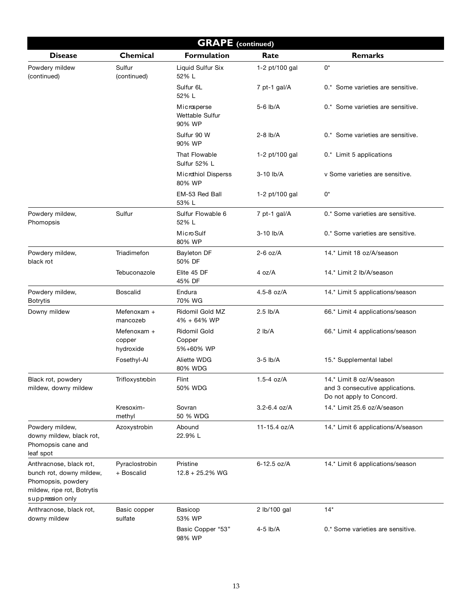| <b>GRAPE</b> (continued)                                                                                                    |                                    |                                          |                  |                                                                                         |
|-----------------------------------------------------------------------------------------------------------------------------|------------------------------------|------------------------------------------|------------------|-----------------------------------------------------------------------------------------|
| <b>Disease</b>                                                                                                              | Chemical                           | <b>Formulation</b>                       | Rate             | <b>Remarks</b>                                                                          |
| Powdery mildew<br>(continued)                                                                                               | Sulfur<br>(continued)              | Liquid Sulfur Six<br>52% L               | 1-2 pt/100 gal   | $0^\star$                                                                               |
|                                                                                                                             |                                    | Sulfur <sub>6L</sub><br>52% L            | 7 pt-1 gal/A     | 0.* Some varieties are sensitive.                                                       |
|                                                                                                                             |                                    | Microsperse<br>Wettable Sulfur<br>90% WP | 5-6 lb/A         | 0.* Some varieties are sensitive.                                                       |
|                                                                                                                             |                                    | Sulfur 90 W<br>90% WP                    | $2-8$ lb/A       | 0.* Some varieties are sensitive.                                                       |
|                                                                                                                             |                                    | That Flowable<br>Sulfur 52% L            | 1-2 pt/100 gal   | 0.* Limit 5 applications                                                                |
|                                                                                                                             |                                    | Microthiol Disperss<br>80% WP            | 3-10 lb/A        | v Some varieties are sensitive.                                                         |
|                                                                                                                             |                                    | EM-53 Red Ball<br>53% L                  | 1-2 pt/100 gal   | 0*                                                                                      |
| Powdery mildew,<br>Phomopsis                                                                                                | Sulfur                             | Sulfur Flowable 6<br>52% L               | 7 pt-1 gal/A     | 0.* Some varieties are sensitive.                                                       |
|                                                                                                                             |                                    | Micro Sulf<br>80% WP                     | 3-10 lb/A        | 0.* Some varieties are sensitive.                                                       |
| Powdery mildew,<br>black rot                                                                                                | Triadimefon                        | Bayleton DF<br>50% DF                    | $2-6$ oz/A       | 14.* Limit 18 oz/A/season                                                               |
|                                                                                                                             | Tebuconazole                       | Elite 45 DF<br>45% DF                    | 4 oz/A           | 14.* Limit 2 lb/A/season                                                                |
| Powdery mildew,<br><b>Botrytis</b>                                                                                          | Boscalid                           | Endura<br>70% WG                         | 4.5-8 oz/A       | 14.* Limit 5 applications/season                                                        |
| Downy mildew                                                                                                                | Mefenoxam +<br>mancozeb            | Ridomil Gold MZ<br>4% + 64% WP           | $2.5$ lb/A       | 66.* Limit 4 applications/season                                                        |
|                                                                                                                             | Mefenoxam +<br>copper<br>hydroxide | Ridomil Gold<br>Copper<br>5%+60% WP      | 2 lb/A           | 66.* Limit 4 applications/season                                                        |
|                                                                                                                             | Fosethyl-Al                        | Aliette WDG<br>80% WDG                   | $3-5$ lb/A       | 15.* Supplemental label                                                                 |
| Black rot, powdery<br>mildew, downy mildew                                                                                  | Trifloxystrobin                    | Flint<br>50% WDG                         | 1.5-4 $oz/A$     | 14.* Limit 8 oz/A/season<br>and 3 consecutive applications.<br>Do not apply to Concord. |
|                                                                                                                             | Kresoxim-<br>methyl                | Sovran<br>50 % WDG                       | $3.2 - 6.4$ oz/A | 14.* Limit 25.6 oz/A/season                                                             |
| Powdery mildew,<br>downy mildew, black rot,<br>Phomopsis cane and<br>leaf spot                                              | Azoxystrobin                       | Abound<br>22.9% L                        | 11-15.4 oz/A     | 14.* Limit 6 applications/A/season                                                      |
| Anthracnose, black rot,<br>bunch rot, downy mildew,<br>Phomopsis, powdery<br>mildew, ripe rot, Botrytis<br>suppression only | Pyraclostrobin<br>+ Boscalid       | Pristine<br>$12.8 + 25.2%$ WG            | 6-12.5 oz/A      | 14.* Limit 6 applications/season                                                        |
| Anthracnose, black rot,<br>downy mildew                                                                                     | Basic copper<br>sulfate            | Basicop<br>53% WP                        | 2 lb/100 gal     | $14*$                                                                                   |
|                                                                                                                             |                                    | Basic Copper "53"<br>98% WP              | 4-5 lb/A         | 0.* Some varieties are sensitive.                                                       |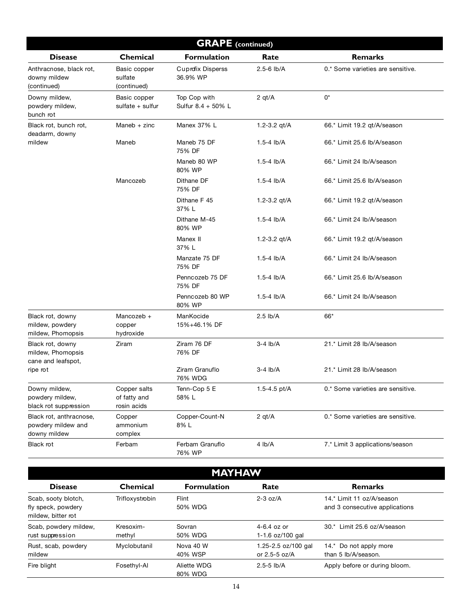| <b>GRAPE</b> (continued)                                      |                                             |                                      |                |                                   |
|---------------------------------------------------------------|---------------------------------------------|--------------------------------------|----------------|-----------------------------------|
| <b>Disease</b>                                                | Chemical                                    | <b>Formulation</b>                   | Rate           | <b>Remarks</b>                    |
| Anthracnose, black rot,<br>downy mildew<br>(continued)        | Basic copper<br>sulfate<br>(continued)      | <b>Cuprofix Disperss</b><br>36.9% WP | $2.5 - 6$ lb/A | 0.* Some varieties are sensitive. |
| Downy mildew,<br>powdery mildew,<br>bunch rot                 | Basic copper<br>sulfate + sulfur            | Top Cop with<br>Sulfur 8.4 + 50% L   | 2 $qt/A$       | 0*                                |
| Black rot, bunch rot,<br>deadarm, downy                       | Maneb $+$ zinc                              | Manex 37% L                          | 1.2-3.2 qt/A   | 66.* Limit 19.2 qt/A/season       |
| mildew                                                        | Maneb                                       | Maneb 75 DF<br>75% DF                | $1.5 - 4$ lb/A | 66.* Limit 25.6 lb/A/season       |
|                                                               |                                             | Maneb 80 WP<br>80% WP                | $1.5 - 4$ lb/A | 66.* Limit 24 lb/A/season         |
|                                                               | Mancozeb                                    | Dithane DF<br>75% DF                 | $1.5 - 4$ lb/A | 66.* Limit 25.6 lb/A/season       |
|                                                               |                                             | Dithane F 45<br>37% L                | 1.2-3.2 $qt/A$ | 66.* Limit 19.2 gt/A/season       |
|                                                               |                                             | Dithane M-45<br>80% WP               | $1.5 - 4$ lb/A | 66.* Limit 24 lb/A/season         |
|                                                               |                                             | Manex II<br>37% L                    | 1.2-3.2 qt/A   | 66.* Limit 19.2 qt/A/season       |
|                                                               |                                             | Manzate 75 DF<br>75% DF              | $1.5 - 4$ lb/A | 66.* Limit 24 lb/A/season         |
|                                                               |                                             | Penncozeb 75 DF<br>75% DF            | $1.5 - 4$ lb/A | 66.* Limit 25.6 lb/A/season       |
|                                                               |                                             | Penncozeb 80 WP<br>80% WP            | $1.5 - 4$ lb/A | 66.* Limit 24 lb/A/season         |
| Black rot, downy<br>mildew, powdery<br>mildew, Phomopsis      | Mancozeb +<br>copper<br>hydroxide           | ManKocide<br>15%+46.1% DF            | $2.5$ lb/A     | 66*                               |
| Black rot, downy<br>mildew, Phomopsis<br>cane and leafspot,   | Ziram                                       | Ziram 76 DF<br>76% DF                | $3-4$ lb/A     | 21.* Limit 28 lb/A/season         |
| ripe rot                                                      |                                             | Ziram Granuflo<br>76% WDG            | $3-4$ lb/A     | 21.* Limit 28 lb/A/season         |
| Downy mildew,<br>powdery mildew,<br>black rot suppression     | Copper salts<br>of fatty and<br>rosin acids | Tenn-Cop 5 E<br>58% L                | 1.5-4.5 pt/A   | 0.* Some varieties are sensitive. |
| Black rot, anthracnose,<br>powdery mildew and<br>downy mildew | Copper<br>ammonium<br>complex               | Copper-Count-N<br>8% L               | 2 $qt/A$       | 0.* Some varieties are sensitive. |
| Black rot                                                     | Ferbam                                      | Ferbam Granuflo<br>76% WP            | 4 lb/A         | 7.* Limit 3 applications/season   |

| <b>MAYHAW</b>                                                   |                     |                        |                                          |                                                             |
|-----------------------------------------------------------------|---------------------|------------------------|------------------------------------------|-------------------------------------------------------------|
| <b>Disease</b>                                                  | Chemical            | <b>Formulation</b>     | Rate                                     | <b>Remarks</b>                                              |
| Scab, sooty blotch,<br>fly speck, powdery<br>mildew. bitter rot | Trifloxystrobin     | Flint<br>50% WDG       | $2-3$ oz/A                               | 14.* Limit 11 oz/A/season<br>and 3 consecutive applications |
| Scab, powdery mildew,<br>rust suppression                       | Kresoxim-<br>methyl | Sovran<br>50% WDG      | $4-6.4$ oz or<br>1-1.6 oz/100 gal        | 30.* Limit 25.6 oz/A/season                                 |
| Rust, scab, powdery<br>mildew                                   | Myclobutanil        | Nova 40 W<br>40% WSP   | 1.25-2.5 oz/100 gal<br>or $2.5 - 5$ oz/A | 14.* Do not apply more<br>than 5 lb/A/season.               |
| Fire blight                                                     | Fosethyl-Al         | Aliette WDG<br>80% WDG | $2.5 - 5$ lb/A                           | Apply before or during bloom.                               |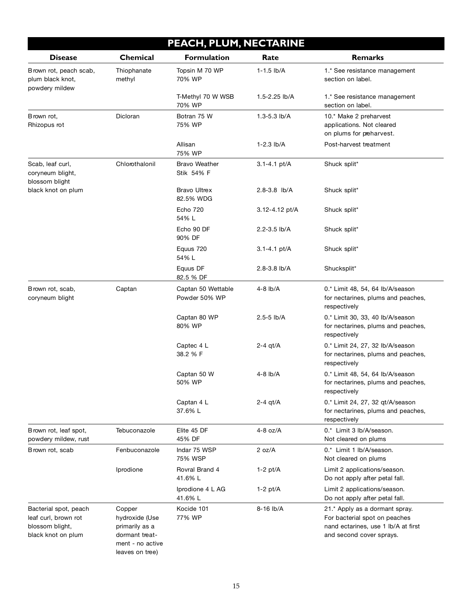| PEACH, PLUM, NECTARINE                                                                 |                                                                                                     |                                     |                  |                                                                                                                                    |
|----------------------------------------------------------------------------------------|-----------------------------------------------------------------------------------------------------|-------------------------------------|------------------|------------------------------------------------------------------------------------------------------------------------------------|
| <b>Disease</b>                                                                         | Chemical                                                                                            | <b>Formulation</b>                  | Rate             | <b>Remarks</b>                                                                                                                     |
| Brown rot, peach scab,<br>plum black knot,<br>powdery mildew                           | Thiophanate<br>methyl                                                                               | Topsin M 70 WP<br>70% WP            | $1 - 1.5$ lb/A   | 1.* See resistance management<br>section on label.                                                                                 |
|                                                                                        |                                                                                                     | T-Methyl 70 W WSB<br>70% WP         | 1.5-2.25 lb/A    | 1.* See resistance management<br>section on label.                                                                                 |
| Brown rot,<br>Rhizopus rot                                                             | Dicloran                                                                                            | Botran 75 W<br>75% WP               | 1.3-5.3 lb/A     | 10.* Make 2 preharvest<br>applications. Not cleared<br>on plums for preharvest.                                                    |
|                                                                                        |                                                                                                     | Allisan<br>75% WP                   | $1-2.3$ lb/A     | Post-harvest treatment                                                                                                             |
| Scab, leaf curl,<br>coryneum blight,<br>blossom blight                                 | Chlorothalonil                                                                                      | <b>Bravo Weather</b><br>Stik 54% F  | $3.1 - 4.1$ pt/A | Shuck split*                                                                                                                       |
| black knot on plum                                                                     |                                                                                                     | <b>Bravo Ultrex</b><br>82.5% WDG    | $2.8 - 3.8$ lb/A | Shuck split*                                                                                                                       |
|                                                                                        |                                                                                                     | <b>Echo 720</b><br>54% L            | 3.12-4.12 pt/A   | Shuck split*                                                                                                                       |
|                                                                                        |                                                                                                     | Echo 90 DF<br>90% DF                | 2.2-3.5 lb/A     | Shuck split*                                                                                                                       |
|                                                                                        |                                                                                                     | Equus 720<br>54%L                   | $3.1 - 4.1$ pt/A | Shuck split*                                                                                                                       |
|                                                                                        |                                                                                                     | Equus DF<br>82.5 % DF               | 2.8-3.8 lb/A     | Shucksplit*                                                                                                                        |
| Brown rot, scab,<br>coryneum blight                                                    | Captan                                                                                              | Captan 50 Wettable<br>Powder 50% WP | 4-8 lb/A         | 0.* Limit 48, 54, 64 lb/A/season<br>for nectarines, plums and peaches,<br>respectively                                             |
|                                                                                        |                                                                                                     | Captan 80 WP<br>80% WP              | $2.5 - 5$ lb/A   | 0.* Limit 30, 33, 40 lb/A/season<br>for nectarines, plums and peaches,<br>respectively                                             |
|                                                                                        |                                                                                                     | Captec 4 L<br>38.2 % F              | $2-4$ qt/A       | 0.* Limit 24, 27, 32 lb/A/season<br>for nectarines, plums and peaches,<br>respectively                                             |
|                                                                                        |                                                                                                     | Captan 50 W<br>50% WP               | 4-8 lb/A         | 0.* Limit 48, 54, 64 lb/A/season<br>for nectarines, plums and peaches,<br>respectively                                             |
|                                                                                        |                                                                                                     | Captan 4 L<br>37.6% L               | $2-4$ qt/A       | 0.* Limit 24, 27, 32 qt/A/season<br>for nectarines, plums and peaches,<br>respectively                                             |
| Brown rot, leaf spot,<br>powdery mildew, rust                                          | Tebuconazole                                                                                        | Elite 45 DF<br>45% DF               | 4-8 oz/A         | 0.* Limit 3 lb/A/season.<br>Not cleared on plums                                                                                   |
| Brown rot, scab                                                                        | Fenbuconazole                                                                                       | Indar 75 WSP<br>75% WSP             | 2 oz/A           | 0.* Limit 1 lb/A/season.<br>Not cleared on plums                                                                                   |
|                                                                                        | Iprodione                                                                                           | Rovral Brand 4<br>41.6% L           | $1-2$ pt/A       | Limit 2 applications/season.<br>Do not apply after petal fall.                                                                     |
|                                                                                        |                                                                                                     | Iprodione 4 L AG<br>41.6% L         | $1-2$ pt/A       | Limit 2 applications/season.<br>Do not apply after petal fall.                                                                     |
| Bacterial spot, peach<br>leaf curl, brown rot<br>blossom blight,<br>black knot on plum | Copper<br>hydroxide (Use<br>primarily as a<br>dormant treat-<br>ment - no active<br>leaves on tree) | Kocide 101<br>77% WP                | 8-16 lb/A        | 21.* Apply as a dormant spray.<br>For bacterial spot on peaches<br>nand ectarines, use 1 lb/A at first<br>and second cover sprays. |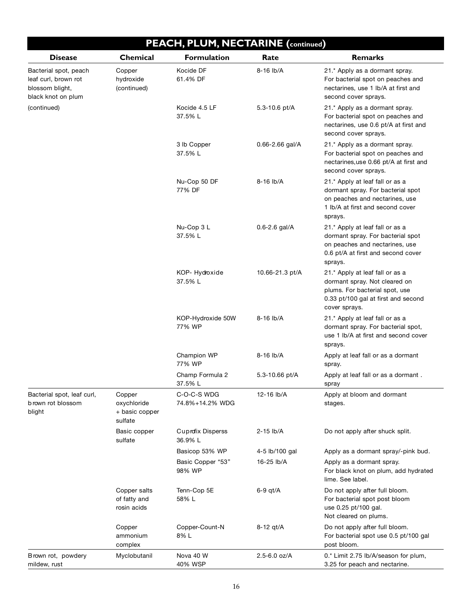|                                                                                        |                                                    | PEACH, PLUM, NECTARINE (continued)  |                     |                                                                                                                                                            |
|----------------------------------------------------------------------------------------|----------------------------------------------------|-------------------------------------|---------------------|------------------------------------------------------------------------------------------------------------------------------------------------------------|
| <b>Disease</b>                                                                         | Chemical                                           | <b>Formulation</b>                  | Rate                | <b>Remarks</b>                                                                                                                                             |
| Bacterial spot, peach<br>leaf curl, brown rot<br>blossom blight,<br>black knot on plum | Copper<br>hydroxide<br>(continued)                 | Kocide DF<br>61.4% DF               | 8-16 lb/A           | 21.* Apply as a dormant spray.<br>For bacterial spot on peaches and<br>nectarines, use 1 lb/A at first and<br>second cover sprays.                         |
| (continued)                                                                            |                                                    | Kocide 4.5 LF<br>37.5% L            | 5.3-10.6 pt/A       | 21.* Apply as a dormant spray.<br>For bacterial spot on peaches and<br>nectarines, use 0.6 pt/A at first and<br>second cover sprays.                       |
|                                                                                        |                                                    | 3 lb Copper<br>37.5% L              | $0.66 - 2.66$ gal/A | 21.* Apply as a dormant spray.<br>For bacterial spot on peaches and<br>nectarines, use 0.66 pt/A at first and<br>second cover sprays.                      |
|                                                                                        |                                                    | Nu-Cop 50 DF<br>77% DF              | 8-16 lb/A           | 21.* Apply at leaf fall or as a<br>dormant spray. For bacterial spot<br>on peaches and nectarines, use<br>1 lb/A at first and second cover<br>sprays.      |
|                                                                                        |                                                    | Nu-Cop 3 L<br>37.5% L               | $0.6 - 2.6$ gal/A   | 21.* Apply at leaf fall or as a<br>dormant spray. For bacterial spot<br>on peaches and nectarines, use<br>0.6 pt/A at first and second cover<br>sprays.    |
|                                                                                        |                                                    | KOP-Hydroxide<br>37.5% L            | 10.66-21.3 pt/A     | 21.* Apply at leaf fall or as a<br>dormant spray. Not cleared on<br>plums. For bacterial spot, use<br>0.33 pt/100 gal at first and second<br>cover sprays. |
|                                                                                        |                                                    | KOP-Hydroxide 50W<br>77% WP         | 8-16 lb/A           | 21.* Apply at leaf fall or as a<br>dormant spray. For bacterial spot,<br>use 1 lb/A at first and second cover<br>sprays.                                   |
|                                                                                        |                                                    | Champion WP<br>77% WP               | 8-16 lb/A           | Apply at leaf fall or as a dormant<br>spray.                                                                                                               |
|                                                                                        |                                                    | Champ Formula 2<br>37.5% L          | 5.3-10.66 pt/A      | Apply at leaf fall or as a dormant.<br>spray                                                                                                               |
| Bacterial spot, leaf curl,<br>brown rot blossom<br>blight                              | Copper<br>oxychloride<br>+ basic copper<br>sulfate | C-O-C-S WDG<br>74.8%+14.2% WDG      | 12-16 lb/A          | Apply at bloom and dormant<br>stages.                                                                                                                      |
|                                                                                        | Basic copper<br>sulfate                            | <b>Cuprofix Disperss</b><br>36.9% L | 2-15 lb/A           | Do not apply after shuck split.                                                                                                                            |
|                                                                                        |                                                    | Basicop 53% WP                      | 4-5 lb/100 gal      | Apply as a dormant spray/-pink bud.                                                                                                                        |
|                                                                                        |                                                    | Basic Copper "53"<br>98% WP         | 16-25 lb/A          | Apply as a dormant spray.<br>For black knot on plum, add hydrated<br>lime. See label.                                                                      |
|                                                                                        | Copper salts<br>of fatty and<br>rosin acids        | Tenn-Cop 5E<br>58% L                | $6-9$ qt/A          | Do not apply after full bloom.<br>For bacterial spot post bloom<br>use 0.25 pt/100 gal.<br>Not cleared on plums.                                           |
|                                                                                        | Copper<br>ammonium<br>complex                      | Copper-Count-N<br>8% L              | 8-12 qt/A           | Do not apply after full bloom.<br>For bacterial spot use 0.5 pt/100 gal<br>post bloom.                                                                     |
| Brown rot, powdery<br>mildew, rust                                                     | Myclobutanil                                       | Nova 40 W<br>40% WSP                | 2.5-6.0 oz/A        | 0.* Limit 2.75 lb/A/season for plum,<br>3.25 for peach and nectarine.                                                                                      |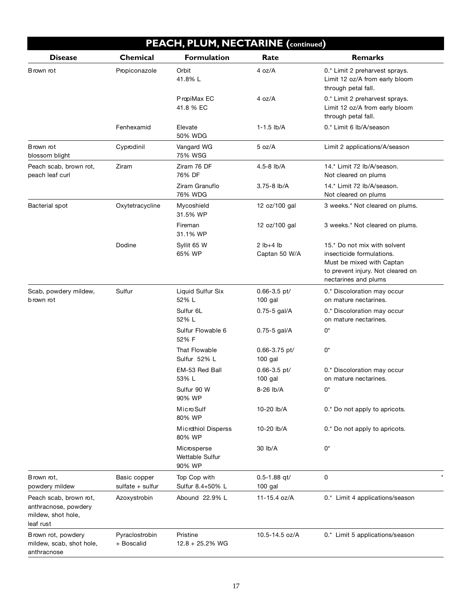| PEACH, PLUM, NECTARINE (continued)                                                |                                  |                                          |                               |                                                                                                                                                     |
|-----------------------------------------------------------------------------------|----------------------------------|------------------------------------------|-------------------------------|-----------------------------------------------------------------------------------------------------------------------------------------------------|
| <b>Disease</b>                                                                    | Chemical                         | <b>Formulation</b>                       | Rate                          | <b>Remarks</b>                                                                                                                                      |
| Brown rot                                                                         | Propiconazole                    | Orbit<br>41.8% L                         | 4 oz/A                        | 0.* Limit 2 preharvest sprays.<br>Limit 12 oz/A from early bloom<br>through petal fall.                                                             |
|                                                                                   |                                  | PropiMax EC<br>41.8 % EC                 | 4 $oz/A$                      | 0.* Limit 2 preharvest sprays.<br>Limit 12 oz/A from early bloom<br>through petal fall.                                                             |
|                                                                                   | Fenhexamid                       | Elevate<br>50% WDG                       | $1 - 1.5$ lb/A                | 0.* Limit 6 lb/A/season                                                                                                                             |
| Brown rot<br>blossom blight                                                       | Cyprodinil                       | Vangard WG<br>75% WSG                    | 5 oz/A                        | Limit 2 applications/A/season                                                                                                                       |
| Peach scab, brown rot,<br>peach leaf curl                                         | Ziram                            | Ziram 76 DF<br>76% DF                    | 4.5-8 lb/A                    | 14.* Limit 72 lb/A/season.<br>Not cleared on plums                                                                                                  |
|                                                                                   |                                  | Ziram Granuflo<br>76% WDG                | 3.75-8 lb/A                   | 14.* Limit 72 lb/A/season.<br>Not cleared on plums                                                                                                  |
| Bacterial spot                                                                    | Oxytetracycline                  | Mycoshield<br>31.5% WP                   | 12 oz/100 gal                 | 3 weeks.* Not cleared on plums.                                                                                                                     |
|                                                                                   |                                  | Fireman<br>31.1% WP                      | 12 oz/100 gal                 | 3 weeks.* Not cleared on plums.                                                                                                                     |
|                                                                                   | Dodine                           | Syllit 65 W<br>65% WP                    | $2$ lb+4 lb<br>Captan 50 W/A  | 15.* Do not mix with solvent<br>insecticide formulations.<br>Must be mixed with Captan<br>to prevent injury. Not cleared on<br>nectarines and plums |
| Scab, powdery mildew,<br>b rown rot                                               | Sulfur                           | Liquid Sulfur Six<br>52% L               | $0.66 - 3.5$ pt/<br>$100$ gal | 0.* Discoloration may occur<br>on mature nectarines.                                                                                                |
|                                                                                   |                                  | Sulfur 6L<br>52% L                       | 0.75-5 gal/A                  | 0.* Discoloration may occur<br>on mature nectarines.                                                                                                |
|                                                                                   |                                  | Sulfur Flowable 6<br>52% F               | $0.75 - 5$ gal/A              | 0*                                                                                                                                                  |
|                                                                                   |                                  | That Flowable<br>Sulfur 52% L            | 0.66-3.75 pt/<br>$100$ gal    | $0^*$                                                                                                                                               |
|                                                                                   |                                  | EM-53 Red Ball<br>53% L                  | $0.66 - 3.5$ pt/<br>$100$ gal | 0.* Discoloration may occur<br>on mature nectarines.                                                                                                |
|                                                                                   |                                  | Sulfur 90 W<br>90% WP                    | 8-26 lb/A                     | 0*                                                                                                                                                  |
|                                                                                   |                                  | Micro Sulf<br>80% WP                     | 10-20 lb/A                    | 0.* Do not apply to apricots.                                                                                                                       |
|                                                                                   |                                  | <b>Microthiol Disperss</b><br>80% WP     | 10-20 lb/A                    | 0.* Do not apply to apricots.                                                                                                                       |
|                                                                                   |                                  | Microsperse<br>Wettable Sulfur<br>90% WP | 30 lb/A                       | $0^*$                                                                                                                                               |
| Brown rot,<br>powdery mildew                                                      | Basic copper<br>sulfate + sulfur | Top Cop with<br>Sulfur 8.4+50% L         | $0.5 - 1.88$ gt/<br>$100$ gal | 0                                                                                                                                                   |
| Peach scab, brown rot,<br>anthracnose, powdery<br>mildew, shot hole,<br>leaf rust | Azoxystrobin                     | Abound 22.9% L                           | 11-15.4 oz/A                  | 0.* Limit 4 applications/season                                                                                                                     |
| Brown rot, powdery<br>mildew, scab, shot hole,<br>anthracnose                     | Pyraclostrobin<br>+ Boscalid     | Pristine<br>$12.8 + 25.2%$ WG            | 10.5-14.5 oz/A                | 0.* Limit 5 applications/season                                                                                                                     |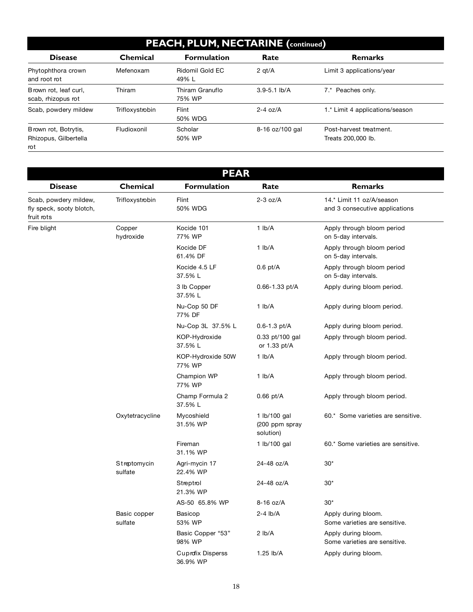#### **PEACH, PLUM, NECTARINE (continued)**

| <b>Disease</b>                                       | <b>Chemical</b> | <b>Formulation</b>        | Rate             | <b>Remarks</b>                                |
|------------------------------------------------------|-----------------|---------------------------|------------------|-----------------------------------------------|
| Phytophthora crown<br>and root rot                   | Mefenoxam       | Ridomil Gold EC<br>49% L  | $2$ qt/ $A$      | Limit 3 applications/year                     |
| Brown rot, leaf curl,<br>scab, rhizopus rot          | Thiram          | Thiram Granuflo<br>75% WP | $3.9 - 5.1$ lb/A | 7.* Peaches only.                             |
| Scab, powdery mildew                                 | Trifloxystrobin | Flint<br>50% WDG          | $2 - 4$ oz/A     | 1.* Limit 4 applications/season               |
| Brown rot, Botrytis,<br>Rhizopus, Gilbertella<br>rot | Fludioxonil     | Scholar<br>50% WP         | 8-16 oz/100 gal  | Post-harvest treatment.<br>Treats 200,000 lb. |

| <b>PEAR</b>                                                     |                         |                                      |                                             |                                                             |
|-----------------------------------------------------------------|-------------------------|--------------------------------------|---------------------------------------------|-------------------------------------------------------------|
| <b>Disease</b>                                                  | <b>Chemical</b>         | <b>Formulation</b>                   | Rate                                        | <b>Remarks</b>                                              |
| Scab, powdery mildew,<br>fly speck, sooty blotch,<br>fruit rots | Trifloxystrobin         | Flint<br>50% WDG                     | $2-3$ oz/A                                  | 14.* Limit 11 oz/A/season<br>and 3 consecutive applications |
| Fire blight                                                     | Copper<br>hydroxide     | Kocide 101<br>77% WP                 | $1$ lb/A                                    | Apply through bloom period<br>on 5-day intervals.           |
|                                                                 |                         | Kocide DF<br>61.4% DF                | 1 lb/A                                      | Apply through bloom period<br>on 5-day intervals.           |
|                                                                 |                         | Kocide 4.5 LF<br>37.5% L             | $0.6$ pt/A                                  | Apply through bloom period<br>on 5-day intervals.           |
|                                                                 |                         | 3 lb Copper<br>37.5% L               | 0.66-1.33 pt/A                              | Apply during bloom period.                                  |
|                                                                 |                         | Nu-Cop 50 DF<br>77% DF               | $1$ lb/A                                    | Apply during bloom period.                                  |
|                                                                 |                         | Nu-Cop 3L 37.5% L                    | $0.6 - 1.3$ pt/A                            | Apply during bloom period.                                  |
|                                                                 |                         | KOP-Hydroxide<br>37.5% L             | 0.33 pt/100 gal<br>or 1.33 pt/A             | Apply through bloom period.                                 |
|                                                                 |                         | KOP-Hydroxide 50W<br>77% WP          | $1$ lb/A                                    | Apply through bloom period.                                 |
|                                                                 |                         | Champion WP<br>77% WP                | 1 lb/A                                      | Apply through bloom period.                                 |
|                                                                 |                         | Champ Formula 2<br>37.5% L           | $0.66$ pt/A                                 | Apply through bloom period.                                 |
|                                                                 | Oxytetracycline         | Mycoshield<br>31.5% WP               | 1 lb/100 gal<br>(200 ppm spray<br>solution) | 60.* Some varieties are sensitive.                          |
|                                                                 |                         | Fireman<br>31.1% WP                  | 1 lb/100 gal                                | 60.* Some varieties are sensitive.                          |
|                                                                 | Streptomycin<br>sulfate | Agri-mycin 17<br>22.4% WP            | 24-48 oz/A                                  | $30*$                                                       |
|                                                                 |                         | Streptrol<br>21.3% WP                | 24-48 oz/A                                  | $30*$                                                       |
|                                                                 |                         | AS-50 65.8% WP                       | 8-16 oz/A                                   | $30*$                                                       |
|                                                                 | Basic copper<br>sulfate | Basicop<br>53% WP                    | $2-4$ lb/A                                  | Apply during bloom.<br>Some varieties are sensitive.        |
|                                                                 |                         | Basic Copper "53"<br>98% WP          | $2$ lb/A                                    | Apply during bloom.<br>Some varieties are sensitive.        |
|                                                                 |                         | <b>Cuprofix Disperss</b><br>36.9% WP | 1.25 lb/A                                   | Apply during bloom.                                         |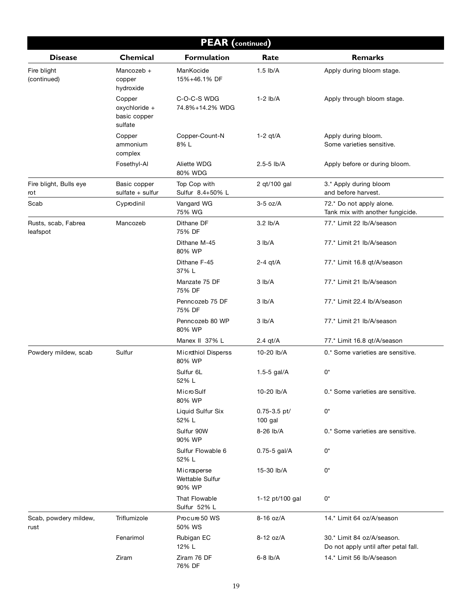| <b>PEAR</b> (continued)         |                                                    |                                          |                             |                                                                    |  |
|---------------------------------|----------------------------------------------------|------------------------------------------|-----------------------------|--------------------------------------------------------------------|--|
| <b>Disease</b>                  | Chemical                                           | <b>Formulation</b>                       | Rate                        | <b>Remarks</b>                                                     |  |
| Fire blight<br>(continued)      | Mancozeb +<br>copper<br>hydroxide                  | ManKocide<br>15%+46.1% DF                | $1.5$ lb/A                  | Apply during bloom stage.                                          |  |
|                                 | Copper<br>oxychloride +<br>basic copper<br>sulfate | C-O-C-S WDG<br>74.8%+14.2% WDG           | $1-2$ lb/A                  | Apply through bloom stage.                                         |  |
|                                 | Copper<br>ammonium<br>complex                      | Copper-Count-N<br>8%L                    | $1-2$ qt/A                  | Apply during bloom.<br>Some varieties sensitive.                   |  |
|                                 | Fosethyl-Al                                        | Aliette WDG<br>80% WDG                   | $2.5 - 5$ lb/A              | Apply before or during bloom.                                      |  |
| Fire blight, Bulls eye<br>rot   | Basic copper<br>sulfate + sulfur                   | Top Cop with<br>Sulfur 8.4+50% L         | 2 qt/100 gal                | 3.* Apply during bloom<br>and before harvest.                      |  |
| Scab                            | Cyprodinil                                         | Vangard WG<br>75% WG                     | $3-5$ oz/A                  | 72.* Do not apply alone.<br>Tank mix with another fungicide.       |  |
| Rusts, scab, Fabrea<br>leafspot | Mancozeb                                           | Dithane DF<br>75% DF                     | 3.2 lb/A                    | 77.* Limit 22 lb/A/season                                          |  |
|                                 |                                                    | Dithane M-45<br>80% WP                   | 3 lb/A                      | 77.* Limit 21 lb/A/season                                          |  |
|                                 |                                                    | Dithane F-45<br>37% L                    | $2-4$ qt/A                  | 77.* Limit 16.8 qt/A/season                                        |  |
|                                 |                                                    | Manzate 75 DF<br>75% DF                  | 3 lb/A                      | 77.* Limit 21 lb/A/season                                          |  |
|                                 |                                                    | Penncozeb 75 DF<br>75% DF                | 3 lb/A                      | 77.* Limit 22.4 lb/A/season                                        |  |
|                                 |                                                    | Penncozeb 80 WP<br>80% WP                | 3 lb/A                      | 77.* Limit 21 lb/A/season                                          |  |
|                                 |                                                    | Manex II 37% L                           | 2.4 $qt/A$                  | 77.* Limit 16.8 qt/A/season                                        |  |
| Powdery mildew, scab            | Sulfur                                             | Microthiol Disperss<br>80% WP            | 10-20 lb/A                  | 0.* Some varieties are sensitive.                                  |  |
|                                 |                                                    | Sulfur 6L<br>52% L                       | 1.5-5 gal/A                 | 0*                                                                 |  |
|                                 |                                                    | Micro Sulf<br>80% WP                     | 10-20 lb/A                  | 0.* Some varieties are sensitive.                                  |  |
|                                 |                                                    | Liquid Sulfur Six<br>52% L               | $0.75 - 3.5$ pt/<br>100 gal | 0*                                                                 |  |
|                                 |                                                    | Sulfur 90W<br>90% WP                     | 8-26 lb/A                   | 0.* Some varieties are sensitive.                                  |  |
|                                 |                                                    | Sulfur Flowable 6<br>52% L               | 0.75-5 gal/A                | 0*                                                                 |  |
|                                 |                                                    | Microsperse<br>Wettable Sulfur<br>90% WP | 15-30 lb/A                  | 0*                                                                 |  |
|                                 |                                                    | That Flowable<br>Sulfur 52% L            | 1-12 pt/100 gal             | $0^\star$                                                          |  |
| Scab, powdery mildew,<br>rust   | Triflumizole                                       | Procure 50 WS<br>50% WS                  | 8-16 oz/A                   | 14.* Limit 64 oz/A/season                                          |  |
|                                 | Fenarimol                                          | Rubigan EC<br>12% L                      | 8-12 oz/A                   | 30.* Limit 84 oz/A/season.<br>Do not apply until after petal fall. |  |
|                                 | Ziram                                              | Ziram 76 DF<br>76% DF                    | $6-8$ lb/A                  | 14.* Limit 56 lb/A/season                                          |  |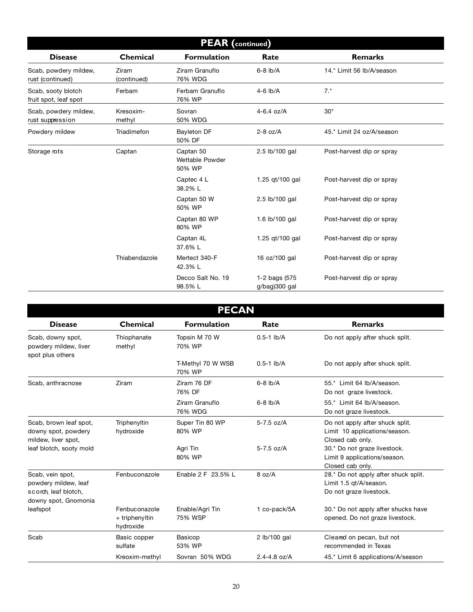| <b>PEAR</b> (continued)                     |                      |                                        |                                |                           |
|---------------------------------------------|----------------------|----------------------------------------|--------------------------------|---------------------------|
| <b>Disease</b>                              | Chemical             | <b>Formulation</b>                     | Rate                           | <b>Remarks</b>            |
| Scab, powdery mildew,<br>rust (continued)   | Ziram<br>(continued) | Ziram Granuflo<br>76% WDG              | $6-8$ $lb/A$                   | 14.* Limit 56 lb/A/season |
| Scab, sooty blotch<br>fruit spot, leaf spot | Ferbam               | Ferbam Granuflo<br>76% WP              | $4-6$ lb/A                     | $7.*$                     |
| Scab, powdery mildew,<br>rust suppression   | Kresoxim-<br>methyl  | Sovran<br>50% WDG                      | $4 - 6.4$ oz/A                 | $30*$                     |
| Powdery mildew                              | Triadimefon          | Bayleton DF<br>50% DF                  | $2-8$ oz/A                     | 45.* Limit 24 oz/A/season |
| Storage rots                                | Captan               | Captan 50<br>Wettable Powder<br>50% WP | 2.5 lb/100 gal                 | Post-harvest dip or spray |
|                                             |                      | Captec 4 L<br>38.2% L                  | 1.25 gt/100 gal                | Post-harvest dip or spray |
|                                             |                      | Captan 50 W<br>50% WP                  | 2.5 lb/100 gal                 | Post-harvest dip or spray |
|                                             |                      | Captan 80 WP<br>80% WP                 | 1.6 lb/100 gal                 | Post-harvest dip or spray |
|                                             |                      | Captan 4L<br>37.6% L                   | 1.25 gt/100 gal                | Post-harvest dip or spray |
|                                             | Thiabendazole        | Mertect 340-F<br>42.3% L               | 16 oz/100 gal                  | Post-harvest dip or spray |
|                                             |                      | Decco Salt No. 19<br>98.5% L           | 1-2 bags (575<br>g/bag)300 gal | Post-harvest dip or spray |

| <b>PECAN</b>                                                                             |                                              |                             |                                    |                                                                                           |  |
|------------------------------------------------------------------------------------------|----------------------------------------------|-----------------------------|------------------------------------|-------------------------------------------------------------------------------------------|--|
| <b>Disease</b>                                                                           | <b>Chemical</b>                              | <b>Formulation</b>          | Rate                               | <b>Remarks</b>                                                                            |  |
| Scab, downy spot,<br>powdery mildew, liver<br>spot plus others                           | Thiophanate<br>methyl                        | Topsin M 70 W<br>70% WP     | $0.5-1$ lb/A                       | Do not apply after shuck split.                                                           |  |
|                                                                                          |                                              | T-Methyl 70 W WSB<br>70% WP | $0.5-1$ lb/A                       | Do not apply after shuck split.                                                           |  |
| Scab, anthracnose                                                                        | Ziram                                        | Ziram 76 DF<br>76% DF       | $6-8$ $\frac{\text{lb}}{\text{A}}$ | 55.* Limit 64 lb/A/season.<br>Do not graze livestock.                                     |  |
|                                                                                          |                                              | Ziram Granuflo<br>76% WDG   | $6-8$ $\frac{\text{lb}}{\text{A}}$ | 55.* Limit 64 lb/A/season.<br>Do not graze livestock.                                     |  |
| Scab, brown leaf spot,<br>downy spot, powdery<br>mildew, liver spot,                     | Triphenyltin<br>hydroxide                    | Super Tin 80 WP<br>80% WP   | $5-7.5$ oz/A                       | Do not apply after shuck split.<br>Limit 10 applications/season.<br>Closed cab only.      |  |
| leaf blotch, sooty mold                                                                  |                                              | Agri Tin<br>80% WP          | 5-7.5 oz/A                         | 30.* Do not graze livestock.<br>Limit 9 applications/season.<br>Closed cab only.          |  |
| Scab, vein spot,<br>powdery mildew, leaf<br>scorch, leaf blotch,<br>downy spot, Gnomonia | Fenbuconazole                                | Enable 2 F 23.5% L          | 8 oz/A                             | 28.* Do not apply after shuck split.<br>Limit 1.5 gt/A/season.<br>Do not graze livestock. |  |
| leafspot                                                                                 | Fenbuconazole<br>+ triphenyltin<br>hydroxide | Enable/Agri Tin<br>75% WSP  | 1 co-pack/5A                       | 30.* Do not apply after shucks have<br>opened. Do not graze livestock.                    |  |
| Scab                                                                                     | Basic copper<br>sulfate                      | Basicop<br>53% WP           | 2 lb/100 gal                       | Cleared on pecan, but not<br>recommended in Texas                                         |  |
|                                                                                          | Kreoxim-methyl                               | Sovran 50% WDG              | $2.4 - 4.8$ oz/A                   | 45.* Limit 6 applications/A/season                                                        |  |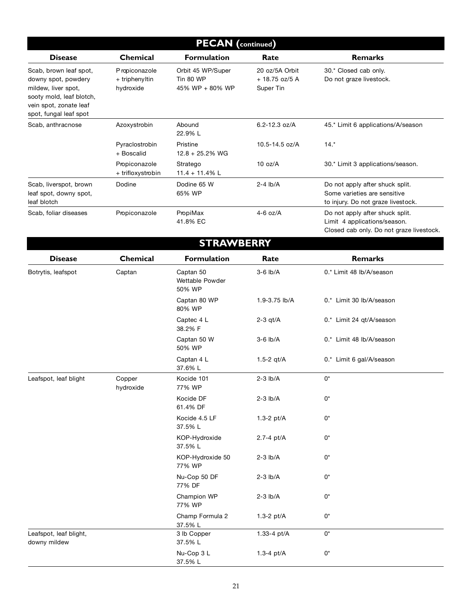| <b>PECAN</b> (continued)                                                                                                                             |                                               |                                                   |                                                |                                                                                                             |
|------------------------------------------------------------------------------------------------------------------------------------------------------|-----------------------------------------------|---------------------------------------------------|------------------------------------------------|-------------------------------------------------------------------------------------------------------------|
| <b>Disease</b>                                                                                                                                       | <b>Chemical</b>                               | <b>Formulation</b>                                | Rate                                           | <b>Remarks</b>                                                                                              |
| Scab, brown leaf spot,<br>downy spot, powdery<br>mildew, liver spot,<br>sooty mold, leaf blotch,<br>vein spot, zonate leaf<br>spot, fungal leaf spot | P ropiconazole<br>+ triphenyltin<br>hydroxide | Orbit 45 WP/Super<br>Tin 80 WP<br>45% WP + 80% WP | 20 oz/5A Orbit<br>$+18.75$ oz/5 A<br>Super Tin | 30.* Closed cab only.<br>Do not graze livestock.                                                            |
| Scab, anthracnose                                                                                                                                    | Azoxystrobin                                  | Abound<br>22.9% L                                 | 6.2-12.3 oz/A                                  | 45.* Limit 6 applications/A/season                                                                          |
|                                                                                                                                                      | Pyraclostrobin<br>+ Boscalid                  | Pristine<br>$12.8 + 25.2\%$ WG                    | 10.5-14.5 oz/A                                 | $14.*$                                                                                                      |
|                                                                                                                                                      | Propiconazole<br>+ trifloxystrobin            | Stratego<br>$11.4 + 11.4\%$ L                     | 10 oz/A                                        | 30.* Limit 3 applications/season.                                                                           |
| Scab, liverspot, brown<br>leaf spot, downy spot,<br>leaf blotch                                                                                      | Dodine                                        | Dodine 65 W<br>65% WP                             | $2-4$ lb/A                                     | Do not apply after shuck split.<br>Some varieties are sensitive<br>to injury. Do not graze livestock.       |
| Scab, foliar diseases                                                                                                                                | Propiconazole                                 | PropiMax<br>41.8% EC                              | $4-6$ oz/A                                     | Do not apply after shuck split.<br>Limit 4 applications/season.<br>Closed cab only. Do not graze livestock. |
|                                                                                                                                                      |                                               | <b>STRAWBERRY</b>                                 |                                                |                                                                                                             |
| <b>Disease</b>                                                                                                                                       | Chemical                                      | <b>Formulation</b>                                | Rate                                           | <b>Remarks</b>                                                                                              |
| Botrytis, leafspot                                                                                                                                   | Captan                                        | Captan 50<br>Wettable Powder<br>50% WP            | $3-6$ lb/A                                     | 0.* Limit 48 lb/A/season                                                                                    |
|                                                                                                                                                      |                                               | Captan 80 WP<br>80% WP                            | 1.9-3.75 lb/A                                  | 0.* Limit 30 lb/A/season                                                                                    |
|                                                                                                                                                      |                                               | Captec 4 L<br>38.2% F                             | $2-3$ qt/A                                     | 0.* Limit 24 qt/A/season                                                                                    |
|                                                                                                                                                      |                                               | Captan 50 W<br>50% WP                             | $3-6$ lb/A                                     | 0.* Limit 48 lb/A/season                                                                                    |
|                                                                                                                                                      |                                               | Captan 4 L<br>37.6% L                             | 1.5-2 $gt/A$                                   | 0.* Limit 6 gal/A/season                                                                                    |
| Leafspot, leaf blight                                                                                                                                | Copper<br>hydroxide                           | Kocide 101<br>77% WP                              | $2-3$ lb/A                                     | 0*                                                                                                          |
|                                                                                                                                                      |                                               | Kocide DF<br>61.4% DF                             | $2-3$ lb/A                                     | $0^*$                                                                                                       |
|                                                                                                                                                      |                                               | Kocide 4.5 LF<br>37.5% L                          | $1.3-2$ pt/A                                   | $0^*$                                                                                                       |
|                                                                                                                                                      |                                               | KOP-Hydroxide<br>37.5% L                          | 2.7-4 pt/A                                     | 0*                                                                                                          |
|                                                                                                                                                      |                                               | KOP-Hydroxide 50<br>77% WP                        | $2-3$ $lb/A$                                   | 0*                                                                                                          |
|                                                                                                                                                      |                                               | Nu-Cop 50 DF<br>77% DF                            | $2-3$ lb/A                                     | 0*                                                                                                          |
|                                                                                                                                                      |                                               | Champion WP<br>77% WP                             | $2-3$ lb/A                                     | $0^*$                                                                                                       |
|                                                                                                                                                      |                                               | Champ Formula 2<br>37.5% L                        | 1.3-2 $pt/A$                                   | 0*                                                                                                          |
| Leafspot, leaf blight,<br>downy mildew                                                                                                               |                                               | 3 lb Copper<br>37.5% L                            | 1.33-4 pt/A                                    | $0^*$                                                                                                       |

37.5% L

Nu-Cop 3 L  $1.3-4$  pt/A  $0<sup>*</sup>$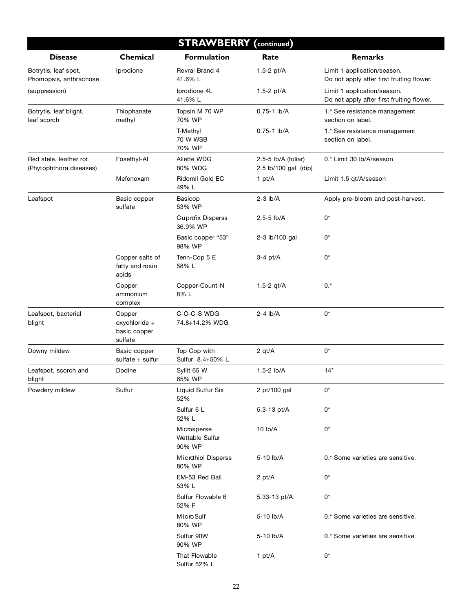|                                                   | <b>STRAWBERRY</b> (continued)                      |                                          |                                             |                                                                          |  |
|---------------------------------------------------|----------------------------------------------------|------------------------------------------|---------------------------------------------|--------------------------------------------------------------------------|--|
| <b>Disease</b>                                    | Chemical                                           | <b>Formulation</b>                       | Rate                                        | <b>Remarks</b>                                                           |  |
| Botrytis, leaf spot,<br>Phomopsis, anthracnose    | Iprodione                                          | Rovral Brand 4<br>41.6% L                | 1.5-2 pt/A                                  | Limit 1 application/season.<br>Do not apply after first fruiting flower. |  |
| (suppression)                                     |                                                    | Iprodione 4L<br>41.6% L                  | 1.5-2 $pt/A$                                | Limit 1 application/season.<br>Do not apply after first fruiting flower. |  |
| Botrytis, leaf blight,<br>leaf scorch             | Thiophanate<br>methyl                              | Topsin M 70 WP<br>70% WP                 | $0.75 - 1$ lb/A                             | 1.* See resistance management<br>section on label.                       |  |
|                                                   |                                                    | T-Methyl<br>70 W WSB<br>70% WP           | $0.75 - 1$ lb/A                             | 1.* See resistance management<br>section on label.                       |  |
| Red stele, leather rot<br>(Phytophthora diseases) | Fosethyl-Al                                        | Aliette WDG<br>80% WDG                   | 2.5-5 lb/A (foliar)<br>2.5 lb/100 gal (dip) | 0.* Limit 30 lb/A/season                                                 |  |
|                                                   | Mefenoxam                                          | Ridomil Gold EC<br>49% L                 | 1 pt/ $A$                                   | Limit 1.5 qt/A/season                                                    |  |
| Leafspot                                          | Basic copper<br>sulfate                            | Basicop<br>53% WP                        | $2-3$ lb/A                                  | Apply pre-bloom and post-harvest.                                        |  |
|                                                   |                                                    | <b>Cuprofix Disperss</b><br>36.9% WP     | 2.5-5 lb/A                                  | 0*                                                                       |  |
|                                                   |                                                    | Basic copper "53"<br>98% WP              | 2-3 lb/100 gal                              | 0*                                                                       |  |
|                                                   | Copper salts of<br>fatty and rosin<br>acids        | Tenn-Cop 5 E<br>58% L                    | $3-4$ pt/A                                  | 0*                                                                       |  |
|                                                   | Copper<br>ammonium<br>complex                      | Copper-Count-N<br>8% L                   | 1.5-2 $gt/A$                                | $0.*$                                                                    |  |
| Leafspot, bacterial<br>blight                     | Copper<br>oxychloride +<br>basic copper<br>sulfate | C-O-C-S WDG<br>74.8+14.2% WDG            | $2 - 4$ lb/A                                | $0^*$                                                                    |  |
| Downy mildew                                      | Basic copper<br>sulfate $+$ sulfur                 | Top Cop with<br>Sulfur 8.4+50% L         | 2 $qt/A$                                    | $0^*$                                                                    |  |
| Leafspot, scorch and<br>blight                    | Dodine                                             | Syllit 65 W<br>65% WP                    | $1.5-2$ lb/A                                | $14*$                                                                    |  |
| Powdery mildew                                    | Sulfur                                             | Liquid Sulfur Six<br>52%                 | 2 pt/100 gal                                | 0*                                                                       |  |
|                                                   |                                                    | Sulfur 6 L<br>52% L                      | 5.3-13 pt/A                                 | $0^*$                                                                    |  |
|                                                   |                                                    | Microsperse<br>Wettable Sulfur<br>90% WP | 10 lb/A                                     | 0*                                                                       |  |
|                                                   |                                                    | <b>Microthiol Disperss</b><br>80% WP     | 5-10 lb/A                                   | 0.* Some varieties are sensitive.                                        |  |
|                                                   |                                                    | EM-53 Red Ball<br>53% L                  | 2 pt/A                                      | 0*                                                                       |  |
|                                                   |                                                    | Sulfur Flowable 6<br>52% F               | 5.33-13 pt/A                                | 0*                                                                       |  |
|                                                   |                                                    | Micro Sulf<br>80% WP                     | 5-10 lb/A                                   | 0.* Some varieties are sensitive.                                        |  |
|                                                   |                                                    | Sulfur 90W<br>90% WP                     | 5-10 lb/A                                   | 0.* Some varieties are sensitive.                                        |  |
|                                                   |                                                    | That Flowable<br>Sulfur 52% L            | 1 pt/A                                      | 0*                                                                       |  |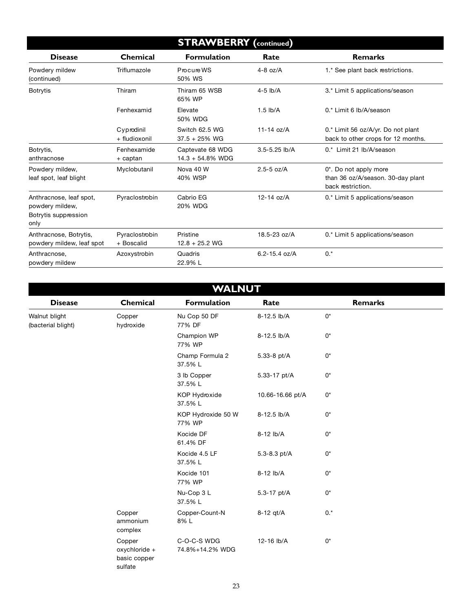| <b>STRAWBERRY</b> (continued)                                              |                              |                                         |                   |                                                                                 |
|----------------------------------------------------------------------------|------------------------------|-----------------------------------------|-------------------|---------------------------------------------------------------------------------|
| <b>Disease</b>                                                             | <b>Chemical</b>              | <b>Formulation</b>                      | Rate              | <b>Remarks</b>                                                                  |
| Powdery mildew<br>(continued)                                              | Triflumazole                 | Procure WS<br>50% WS                    | $4-8$ oz/A        | 1.* See plant back restrictions.                                                |
| <b>Botrytis</b>                                                            | Thiram                       | Thiram 65 WSB<br>65% WP                 | $4-5$ lb/A        | 3.* Limit 5 applications/season                                                 |
|                                                                            | Fenhexamid                   | Elevate<br>50% WDG                      | $1.5$ lb/A        | 0.* Limit 6 lb/A/season                                                         |
|                                                                            | Cyprodinil<br>+ fludioxonil  | Switch 62.5 WG<br>$37.5 + 25\%$ WG      | $11-14$ oz/A      | 0.* Limit 56 oz/A/yr. Do not plant<br>back to other crops for 12 months.        |
| Botrytis,<br>anthracnose                                                   | Fenhexamide<br>+ captan      | Captevate 68 WDG<br>$14.3 + 54.8\%$ WDG | $3.5 - 5.25$ lb/A | 0.* Limit 21 lb/A/season                                                        |
| Powdery mildew,<br>leaf spot, leaf blight                                  | Myclobutanil                 | Nova 40 W<br>40% WSP                    | $2.5 - 5$ oz/A    | 0*. Do not apply more<br>than 36 oz/A/season. 30-day plant<br>back restriction. |
| Anthracnose, leaf spot,<br>powdery mildew,<br>Botrytis suppression<br>only | Pyraclostrobin               | Cabrio EG<br>20% WDG                    | $12 - 14$ oz/A    | 0.* Limit 5 applications/season                                                 |
| Anthracnose, Botrytis,<br>powdery mildew, leaf spot                        | Pyraclostrobin<br>+ Boscalid | Pristine<br>$12.8 + 25.2$ WG            | $18.5 - 23$ oz/A  | 0.* Limit 5 applications/season                                                 |
| Anthracnose.<br>powdery mildew                                             | Azoxystrobin                 | Quadris<br>22.9% L                      | $6.2 - 15.4$ oz/A | $0.*$                                                                           |

| <b>WALNUT</b>                       |                                                    |                                |                  |                |  |  |  |  |
|-------------------------------------|----------------------------------------------------|--------------------------------|------------------|----------------|--|--|--|--|
| <b>Disease</b>                      | Chemical                                           | <b>Formulation</b>             | Rate             | <b>Remarks</b> |  |  |  |  |
| Walnut blight<br>(bacterial blight) | Copper<br>hydroxide                                | Nu Cop 50 DF<br>77% DF         | 8-12.5 lb/A      | 0*             |  |  |  |  |
|                                     |                                                    | Champion WP<br>77% WP          | 8-12.5 lb/A      | 0*             |  |  |  |  |
|                                     |                                                    | Champ Formula 2<br>37.5% L     | 5.33-8 pt/A      | 0*             |  |  |  |  |
|                                     |                                                    | 3 lb Copper<br>37.5% L         | 5.33-17 pt/A     | 0*             |  |  |  |  |
|                                     |                                                    | KOP Hydroxide<br>37.5% L       | 10.66-16.66 pt/A | 0*             |  |  |  |  |
|                                     |                                                    | KOP Hydroxide 50 W<br>77% WP   | 8-12.5 lb/A      | 0*             |  |  |  |  |
|                                     |                                                    | Kocide DF<br>61.4% DF          | 8-12 lb/A        | 0*             |  |  |  |  |
|                                     |                                                    | Kocide 4.5 LF<br>37.5% L       | 5.3-8.3 pt/A     | 0*             |  |  |  |  |
|                                     |                                                    | Kocide 101<br>77% WP           | 8-12 lb/A        | 0*             |  |  |  |  |
|                                     |                                                    | Nu-Cop 3 L<br>37.5% L          | 5.3-17 pt/A      | 0*             |  |  |  |  |
|                                     | Copper<br>ammonium<br>complex                      | Copper-Count-N<br>8%L          | 8-12 qt/A        | $0.*$          |  |  |  |  |
|                                     | Copper<br>oxychloride +<br>basic copper<br>sulfate | C-O-C-S WDG<br>74.8%+14.2% WDG | 12-16 lb/A       | 0*             |  |  |  |  |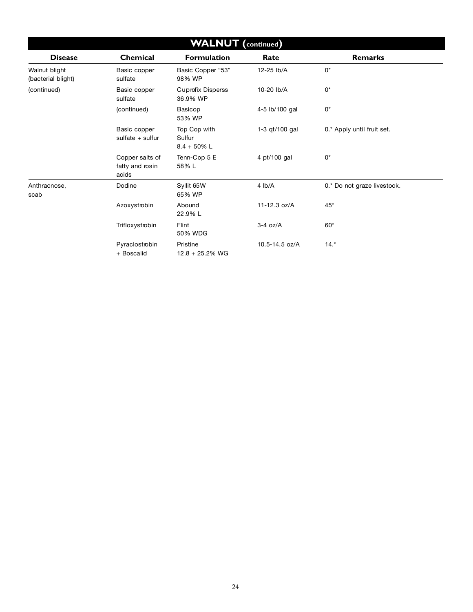| <b>WALNUT</b> (continued)           |                                             |                                          |                |                             |  |  |  |
|-------------------------------------|---------------------------------------------|------------------------------------------|----------------|-----------------------------|--|--|--|
| <b>Disease</b>                      | Chemical                                    | Formulation                              | Rate           | <b>Remarks</b>              |  |  |  |
| Walnut blight<br>(bacterial blight) | Basic copper<br>sulfate                     | Basic Copper "53"<br>98% WP              | 12-25 lb/A     | 0*                          |  |  |  |
| (continued)                         | Basic copper<br>sulfate                     | <b>Cuprofix Disperss</b><br>36.9% WP     | 10-20 lb/A     | $0^*$                       |  |  |  |
|                                     | (continued)                                 | Basicop<br>53% WP                        | 4-5 lb/100 gal | 0*                          |  |  |  |
|                                     | Basic copper<br>sulfate $+$ sulfur          | Top Cop with<br>Sulfur<br>$8.4 + 50\%$ L | 1-3 gt/100 gal | 0.* Apply until fruit set.  |  |  |  |
|                                     | Copper salts of<br>fatty and rosin<br>acids | Tenn-Cop 5 E<br>58%L                     | 4 pt/100 gal   | $0^*$                       |  |  |  |
| Anthracnose,<br>scab                | Dodine                                      | Syllit 65W<br>65% WP                     | 4 lb/A         | 0.* Do not graze livestock. |  |  |  |
|                                     | Azoxystrobin                                | Abound<br>22.9% L                        | 11-12.3 oz/A   | $45*$                       |  |  |  |
|                                     | Trifloxystrobin                             | Flint<br>50% WDG                         | $3-4$ oz/A     | $60*$                       |  |  |  |
|                                     | Pyraclostrobin<br>+ Boscalid                | Pristine<br>$12.8 + 25.2%$ WG            | 10.5-14.5 oz/A | $14.*$                      |  |  |  |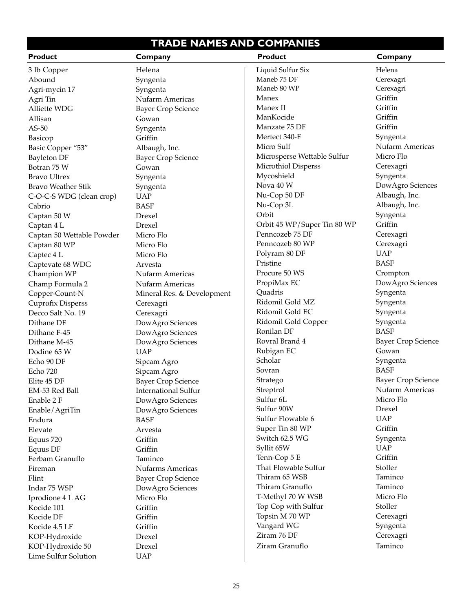#### **TRADE NAMES AND COMPANIES**

| <b>Product</b>            | Company                     | Product                     | Company                   |
|---------------------------|-----------------------------|-----------------------------|---------------------------|
| 3 lb Copper               | Helena                      | Liquid Sulfur Six           | Helena                    |
| Abound                    | Syngenta                    | Maneb 75 DF                 | Cerexagri                 |
| Agri-mycin 17             | Syngenta                    | Maneb 80 WP                 | Cerexagri                 |
| Agri Tin                  | Nufarm Americas             | Manex                       | Griffin                   |
| Alliette WDG              | <b>Bayer Crop Science</b>   | Manex II                    | Griffin                   |
| Allisan                   | Gowan                       | ManKocide                   | Griffin                   |
| $AS-50$                   | Syngenta                    | Manzate 75 DF               | Griffin                   |
| Basicop                   | Griffin                     | Mertect 340-F               | Syngenta                  |
| Basic Copper "53"         | Albaugh, Inc.               | Micro Sulf                  | Nufarm Americas           |
| <b>Bayleton DF</b>        | <b>Bayer Crop Science</b>   | Microsperse Wettable Sulfur | Micro Flo                 |
| Botran 75 W               | Gowan                       | Microthiol Disperss         | Cerexagri                 |
| <b>Bravo Ultrex</b>       | Syngenta                    | Mycoshield                  | Syngenta                  |
| <b>Bravo Weather Stik</b> | Syngenta                    | Nova 40 W                   | DowAgro Sciences          |
| C-O-C-S WDG (clean crop)  | <b>UAP</b>                  | Nu-Cop 50 DF                | Albaugh, Inc.             |
| Cabrio                    | <b>BASF</b>                 | Nu-Cop 3L                   | Albaugh, Inc.             |
| Captan 50 W               | Drexel                      | Orbit                       | Syngenta                  |
| Captan 4 L                | Drexel                      | Orbit 45 WP/Super Tin 80 WP | Griffin                   |
| Captan 50 Wettable Powder | Micro Flo                   | Penncozeb 75 DF             | Cerexagri                 |
| Captan 80 WP              | Micro Flo                   | Penncozeb 80 WP             | Cerexagri                 |
|                           | Micro Flo                   | Polyram 80 DF               | <b>UAP</b>                |
| Captec 4 L                |                             | Pristine                    | <b>BASF</b>               |
| Captevate 68 WDG          | Arvesta                     | Procure 50 WS               | Crompton                  |
| Champion WP               | Nufarm Americas             | PropiMax EC                 | DowAgro Sciences          |
| Champ Formula 2           | Nufarm Americas             | Quadris                     |                           |
| Copper-Count-N            | Mineral Res. & Development  | Ridomil Gold MZ             | Syngenta                  |
| <b>Cuprofix Disperss</b>  | Cerexagri                   |                             | Syngenta                  |
| Decco Salt No. 19         | Cerexagri                   | Ridomil Gold EC             | Syngenta                  |
| Dithane DF                | DowAgro Sciences            | Ridomil Gold Copper         | Syngenta                  |
| Dithane F-45              | DowAgro Sciences            | Ronilan DF                  | <b>BASF</b>               |
| Dithane M-45              | DowAgro Sciences            | Rovral Brand 4              | <b>Bayer Crop Science</b> |
| Dodine 65 W               | <b>UAP</b>                  | Rubigan EC                  | Gowan                     |
| Echo 90 DF                | Sipcam Agro                 | Scholar                     | Syngenta                  |
| <b>Echo 720</b>           | Sipcam Agro                 | Sovran                      | <b>BASF</b>               |
| Elite 45 DF               | <b>Bayer Crop Science</b>   | Stratego                    | <b>Bayer Crop Science</b> |
| EM-53 Red Ball            | <b>International Sulfur</b> | Streptrol                   | Nufarm Americas           |
| Enable 2 F                | DowAgro Sciences            | Sulfur <sub>6L</sub>        | Micro Flo                 |
| Enable/AgriTin            | DowAgro Sciences            | Sulfur 90W                  | Drexel                    |
| Endura                    | <b>BASF</b>                 | Sulfur Flowable 6           | <b>UAP</b>                |
| Elevate                   | Arvesta                     | Super Tin 80 WP             | Griffin                   |
| Equus 720                 | Griffin                     | Switch 62.5 WG              | Syngenta                  |
| Equus DF                  | Griffin                     | Syllit 65W                  | <b>UAP</b>                |
| Ferbam Granuflo           | Taminco                     | Tenn-Cop 5 E                | Griffin                   |
| Fireman                   | <b>Nufarms Americas</b>     | That Flowable Sulfur        | Stoller                   |
| Flint                     | <b>Bayer Crop Science</b>   | Thiram 65 WSB               | Taminco                   |
| Indar 75 WSP              | DowAgro Sciences            | Thiram Granuflo             | Taminco                   |
| Iprodione 4 L AG          | Micro Flo                   | T-Methyl 70 W WSB           | Micro Flo                 |
| Kocide 101                | Griffin                     | Top Cop with Sulfur         | Stoller                   |
| Kocide DF                 | Griffin                     | Topsin M 70 WP              | Cerexagri                 |
| Kocide 4.5 LF             | Griffin                     | Vangard WG                  | Syngenta                  |
| KOP-Hydroxide             | Drexel                      | Ziram 76 DF                 | Cerexagri                 |
| KOP-Hydroxide 50          | Drexel                      | Ziram Granuflo              | Taminco                   |
| Lime Sulfur Solution      | <b>UAP</b>                  |                             |                           |
|                           |                             |                             |                           |